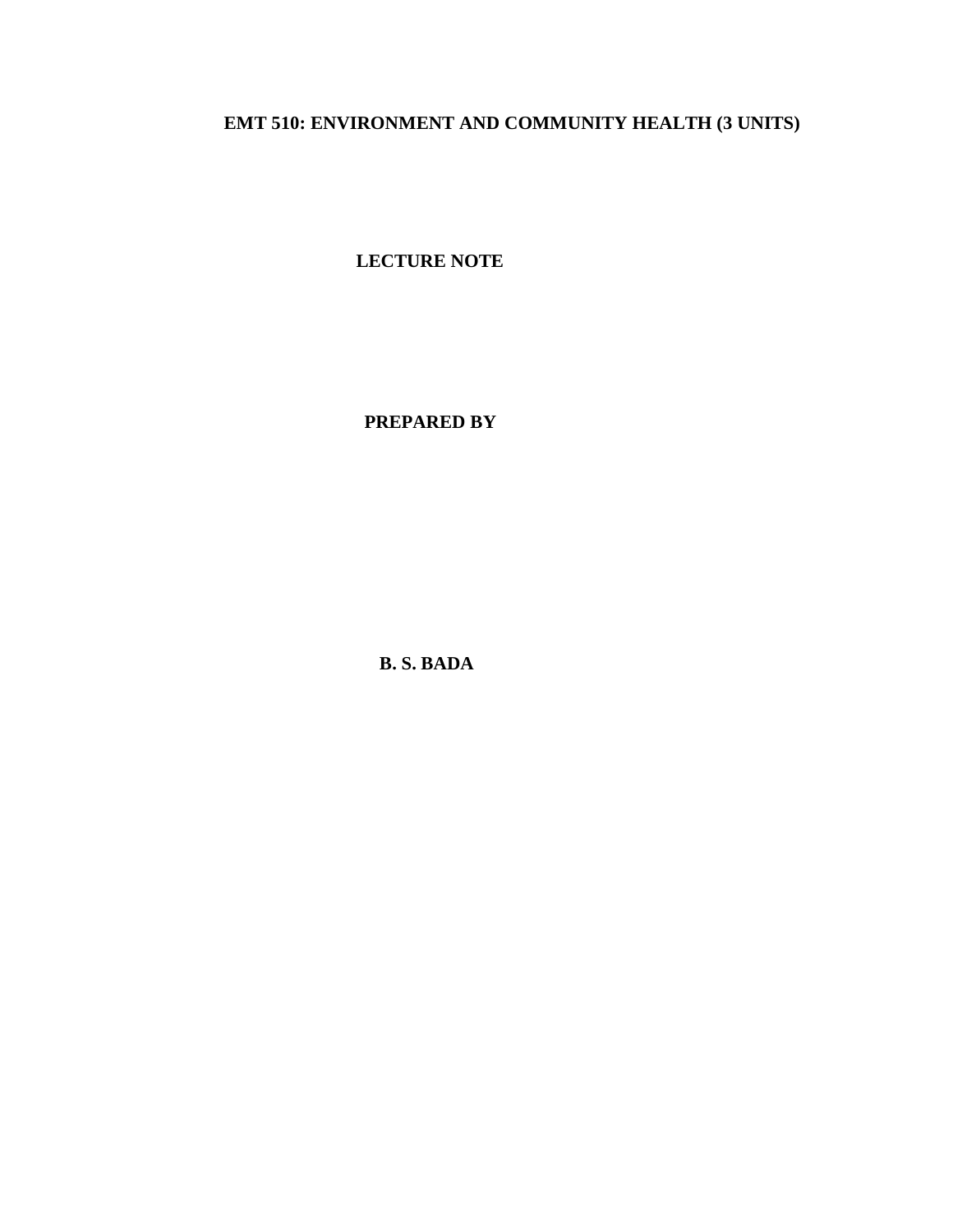## **EMT 510: ENVIRONMENT AND COMMUNITY HEALTH (3 UNITS)**

**LECTURE NOTE**

 **PREPARED BY**

**B. S. BADA**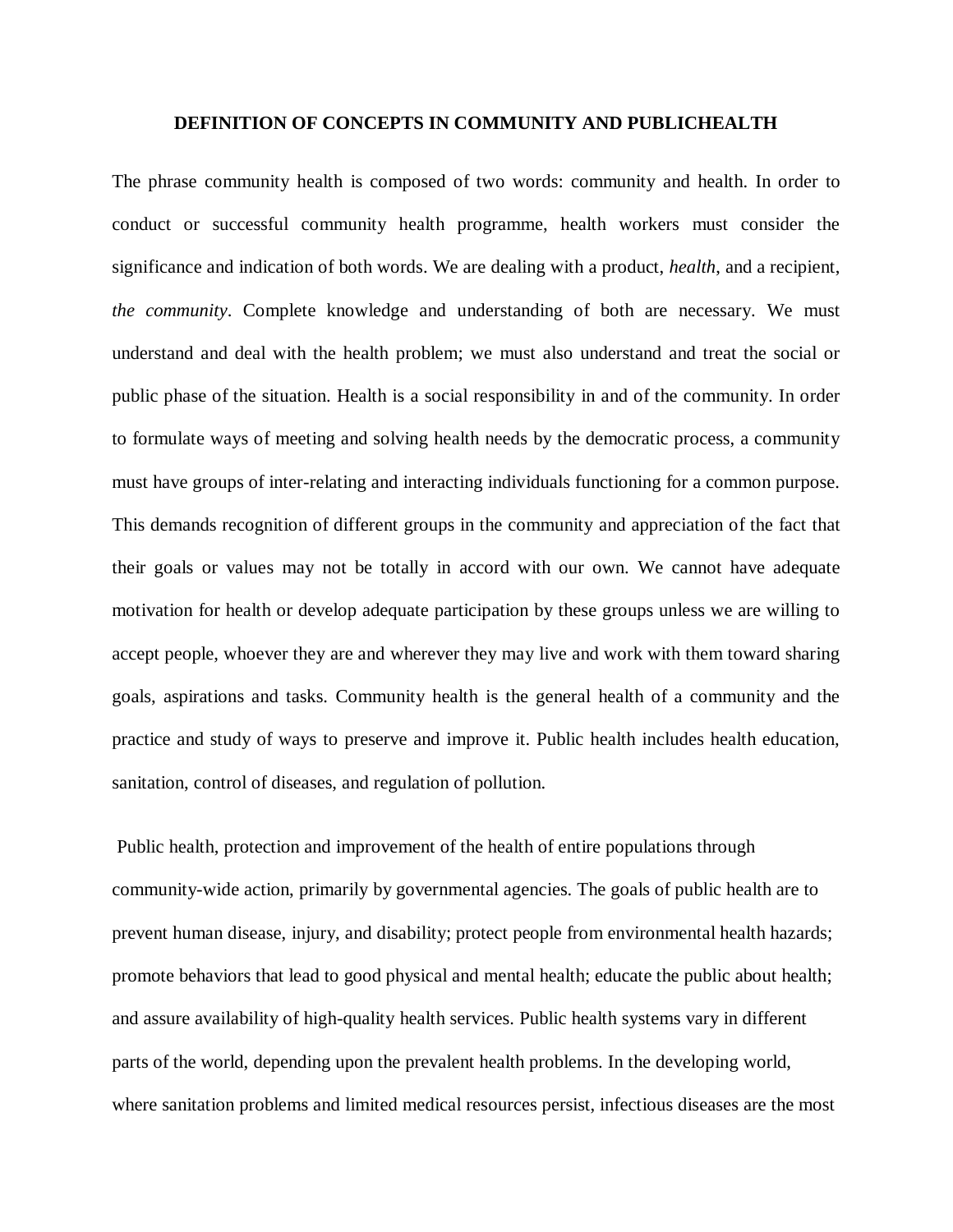#### **DEFINITION OF CONCEPTS IN COMMUNITY AND PUBLICHEALTH**

The phrase community health is composed of two words: community and health. In order to conduct or successful community health programme, health workers must consider the significance and indication of both words. We are dealing with a product, *health*, and a recipient, *the community*. Complete knowledge and understanding of both are necessary. We must understand and deal with the health problem; we must also understand and treat the social or public phase of the situation. Health is a social responsibility in and of the community. In order to formulate ways of meeting and solving health needs by the democratic process, a community must have groups of inter-relating and interacting individuals functioning for a common purpose. This demands recognition of different groups in the community and appreciation of the fact that their goals or values may not be totally in accord with our own. We cannot have adequate motivation for health or develop adequate participation by these groups unless we are willing to accept people, whoever they are and wherever they may live and work with them toward sharing goals, aspirations and tasks. Community health is the general health of a community and the practice and study of ways to preserve and improve it. Public health includes health education, sanitation, control of diseases, and regulation of pollution.

Public health, protection and improvement of the health of entire populations through community-wide action, primarily by governmental agencies. The goals of public health are to prevent human disease, injury, and disability; protect people from environmental health hazards; promote behaviors that lead to good physical and mental health; educate the public about health; and assure availability of high-quality health services. Public health systems vary in different parts of the world, depending upon the prevalent health problems. In the developing world, where sanitation problems and limited medical resources persist, infectious diseases are the most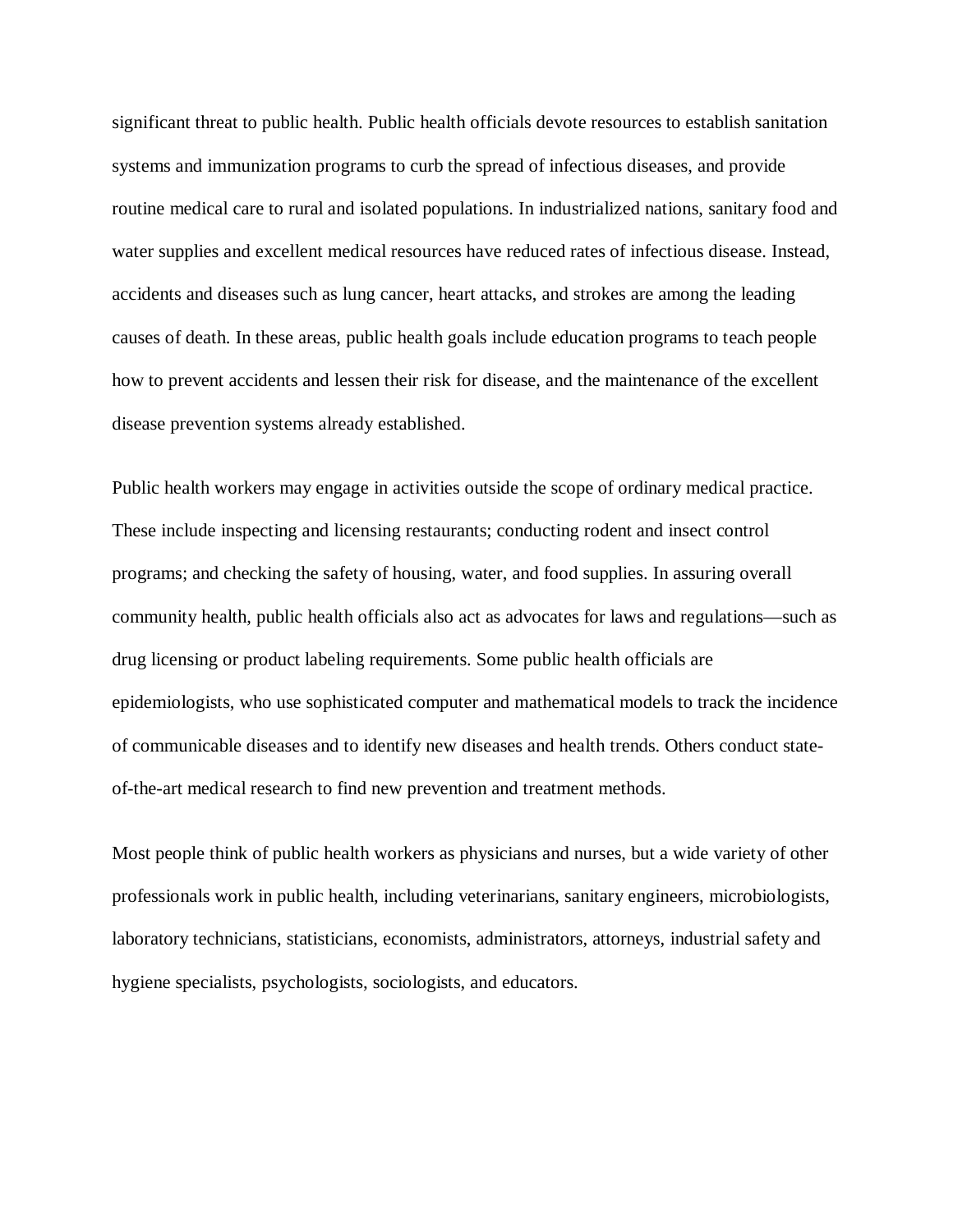significant threat to public health. Public health officials devote resources to establish sanitation systems and immunization programs to curb the spread of infectious diseases, and provide routine medical care to rural and isolated populations. In industrialized nations, sanitary food and water supplies and excellent medical resources have reduced rates of infectious disease. Instead, accidents and diseases such as lung cancer, heart attacks, and strokes are among the leading causes of death. In these areas, public health goals include education programs to teach people how to prevent accidents and lessen their risk for disease, and the maintenance of the excellent disease prevention systems already established.

Public health workers may engage in activities outside the scope of ordinary medical practice. These include inspecting and licensing restaurants; conducting rodent and insect control programs; and checking the safety of housing, water, and food supplies. In assuring overall community health, public health officials also act as advocates for laws and regulations—such as drug licensing or product labeling requirements. Some public health officials are epidemiologists, who use sophisticated computer and mathematical models to track the incidence of communicable diseases and to identify new diseases and health trends. Others conduct stateof-the-art medical research to find new prevention and treatment methods.

Most people think of public health workers as physicians and nurses, but a wide variety of other professionals work in public health, including veterinarians, sanitary engineers, microbiologists, laboratory technicians, statisticians, economists, administrators, attorneys, industrial safety and hygiene specialists, psychologists, sociologists, and educators.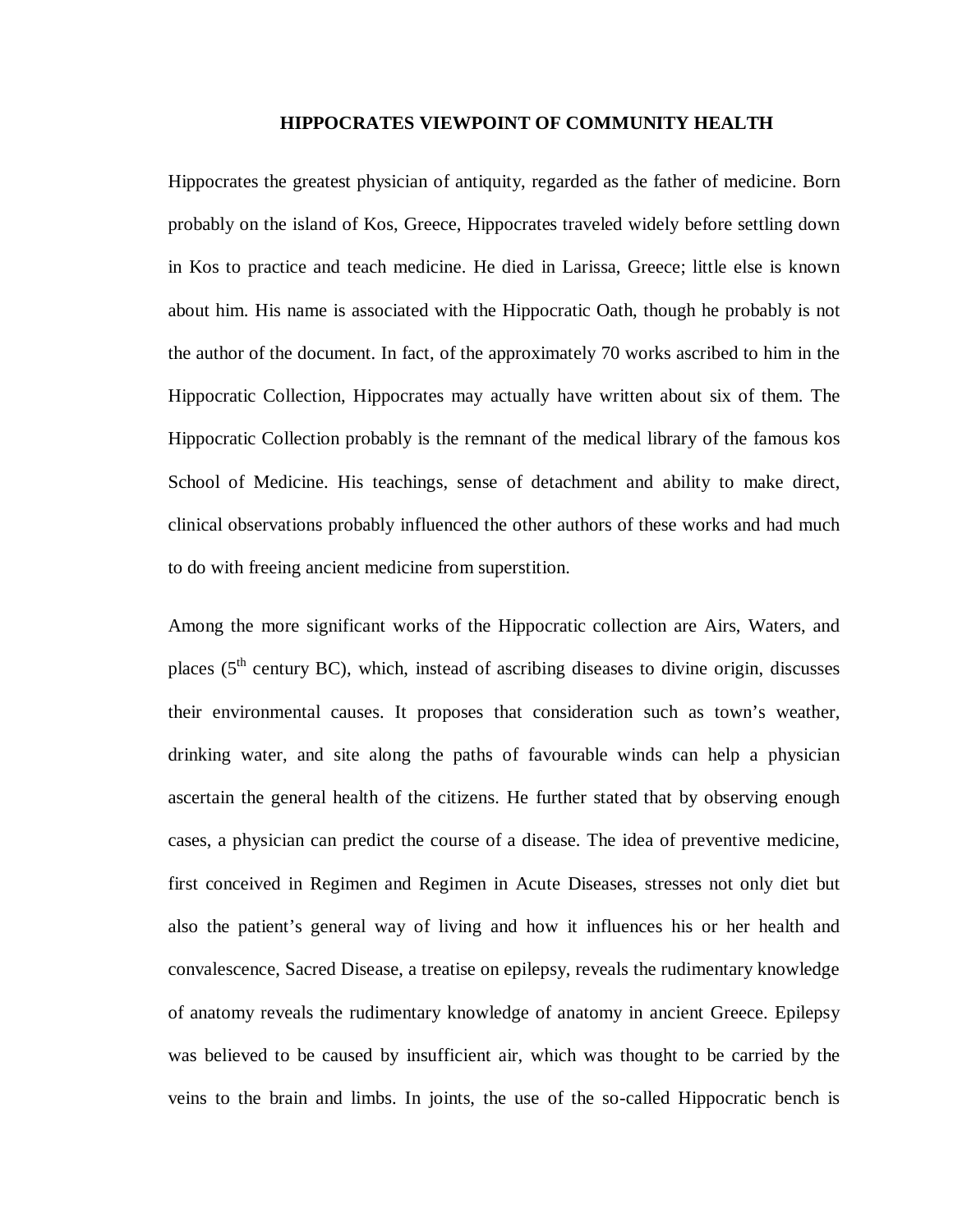#### **HIPPOCRATES VIEWPOINT OF COMMUNITY HEALTH**

Hippocrates the greatest physician of antiquity, regarded as the father of medicine. Born probably on the island of Kos, Greece, Hippocrates traveled widely before settling down in Kos to practice and teach medicine. He died in Larissa, Greece; little else is known about him. His name is associated with the Hippocratic Oath, though he probably is not the author of the document. In fact, of the approximately 70 works ascribed to him in the Hippocratic Collection, Hippocrates may actually have written about six of them. The Hippocratic Collection probably is the remnant of the medical library of the famous kos School of Medicine. His teachings, sense of detachment and ability to make direct, clinical observations probably influenced the other authors of these works and had much to do with freeing ancient medicine from superstition.

Among the more significant works of the Hippocratic collection are Airs, Waters, and places ( $5<sup>th</sup>$  century BC), which, instead of ascribing diseases to divine origin, discusses their environmental causes. It proposes that consideration such as town's weather, drinking water, and site along the paths of favourable winds can help a physician ascertain the general health of the citizens. He further stated that by observing enough cases, a physician can predict the course of a disease. The idea of preventive medicine, first conceived in Regimen and Regimen in Acute Diseases, stresses not only diet but also the patient's general way of living and how it influences his or her health and convalescence, Sacred Disease, a treatise on epilepsy, reveals the rudimentary knowledge of anatomy reveals the rudimentary knowledge of anatomy in ancient Greece. Epilepsy was believed to be caused by insufficient air, which was thought to be carried by the veins to the brain and limbs. In joints, the use of the so-called Hippocratic bench is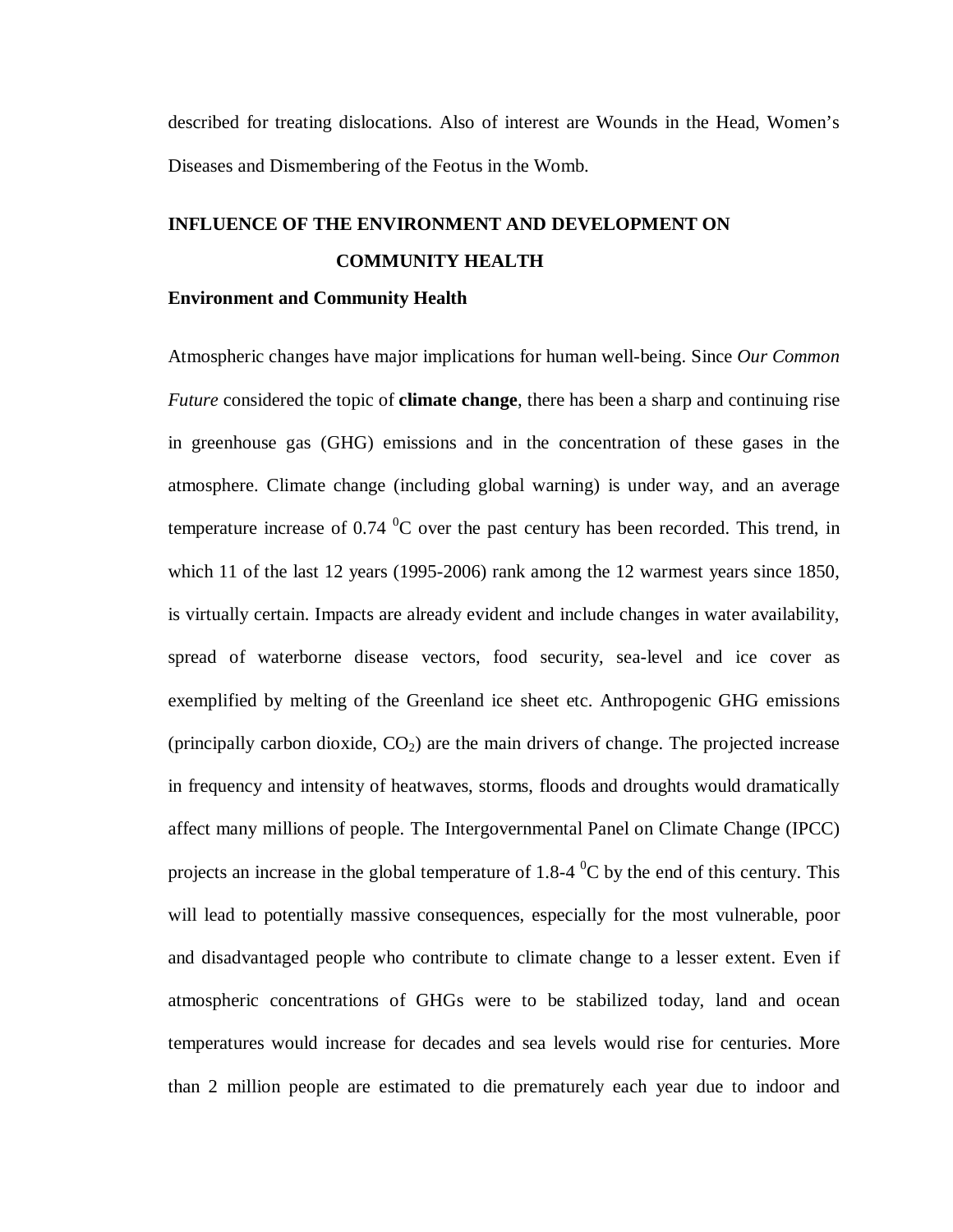described for treating dislocations. Also of interest are Wounds in the Head, Women's Diseases and Dismembering of the Feotus in the Womb.

## **INFLUENCE OF THE ENVIRONMENT AND DEVELOPMENT ON COMMUNITY HEALTH**

### **Environment and Community Health**

Atmospheric changes have major implications for human well-being. Since *Our Common Future* considered the topic of **climate change**, there has been a sharp and continuing rise in greenhouse gas (GHG) emissions and in the concentration of these gases in the atmosphere. Climate change (including global warning) is under way, and an average temperature increase of 0.74  $^{0}$ C over the past century has been recorded. This trend, in which 11 of the last 12 years (1995-2006) rank among the 12 warmest years since 1850, is virtually certain. Impacts are already evident and include changes in water availability, spread of waterborne disease vectors, food security, sea-level and ice cover as exemplified by melting of the Greenland ice sheet etc. Anthropogenic GHG emissions (principally carbon dioxide,  $CO<sub>2</sub>$ ) are the main drivers of change. The projected increase in frequency and intensity of heatwaves, storms, floods and droughts would dramatically affect many millions of people. The Intergovernmental Panel on Climate Change (IPCC) projects an increase in the global temperature of 1.8-4  $^0C$  by the end of this century. This will lead to potentially massive consequences, especially for the most vulnerable, poor and disadvantaged people who contribute to climate change to a lesser extent. Even if atmospheric concentrations of GHGs were to be stabilized today, land and ocean temperatures would increase for decades and sea levels would rise for centuries. More than 2 million people are estimated to die prematurely each year due to indoor and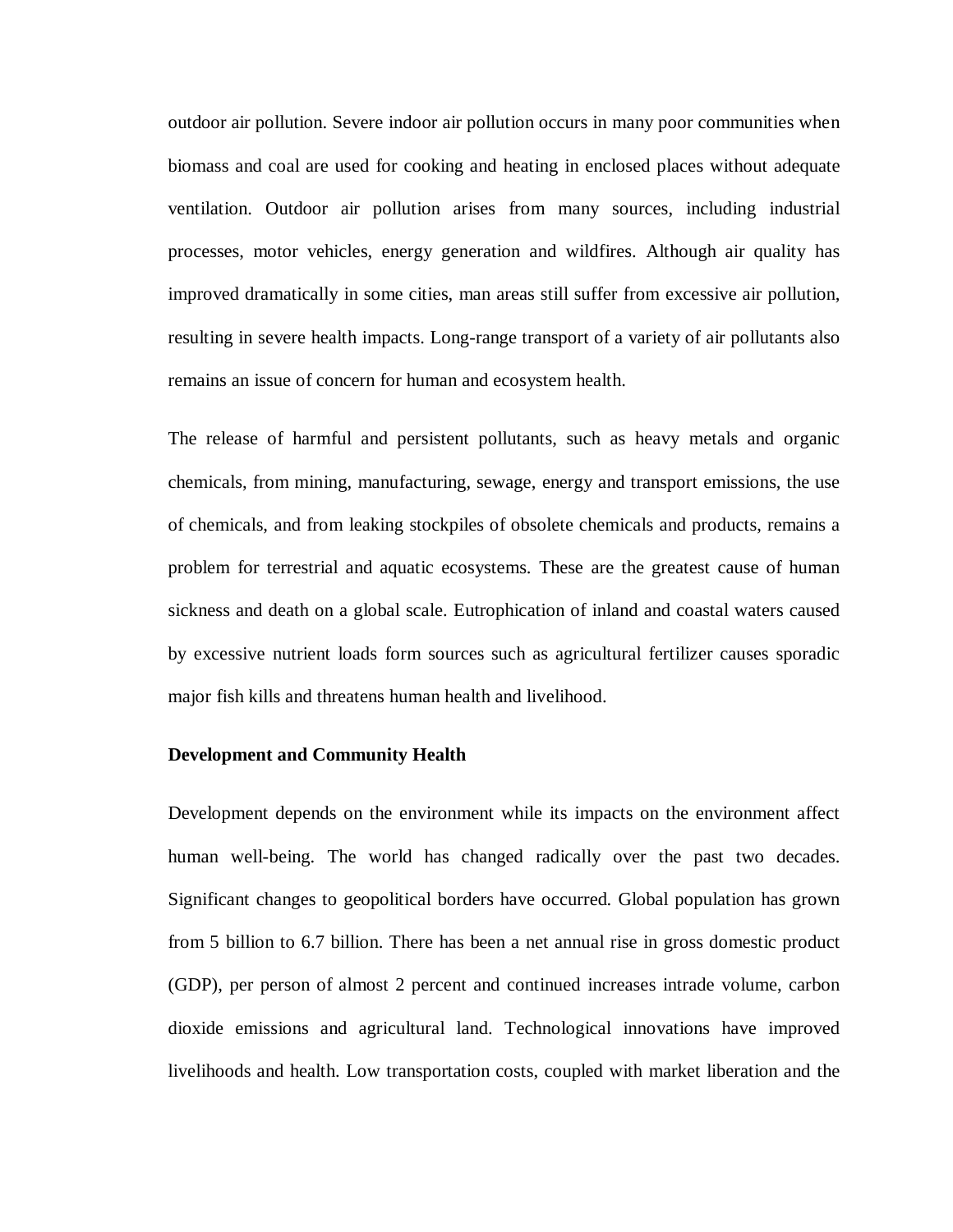outdoor air pollution. Severe indoor air pollution occurs in many poor communities when biomass and coal are used for cooking and heating in enclosed places without adequate ventilation. Outdoor air pollution arises from many sources, including industrial processes, motor vehicles, energy generation and wildfires. Although air quality has improved dramatically in some cities, man areas still suffer from excessive air pollution, resulting in severe health impacts. Long-range transport of a variety of air pollutants also remains an issue of concern for human and ecosystem health.

The release of harmful and persistent pollutants, such as heavy metals and organic chemicals, from mining, manufacturing, sewage, energy and transport emissions, the use of chemicals, and from leaking stockpiles of obsolete chemicals and products, remains a problem for terrestrial and aquatic ecosystems. These are the greatest cause of human sickness and death on a global scale. Eutrophication of inland and coastal waters caused by excessive nutrient loads form sources such as agricultural fertilizer causes sporadic major fish kills and threatens human health and livelihood.

### **Development and Community Health**

Development depends on the environment while its impacts on the environment affect human well-being. The world has changed radically over the past two decades. Significant changes to geopolitical borders have occurred. Global population has grown from 5 billion to 6.7 billion. There has been a net annual rise in gross domestic product (GDP), per person of almost 2 percent and continued increases intrade volume, carbon dioxide emissions and agricultural land. Technological innovations have improved livelihoods and health. Low transportation costs, coupled with market liberation and the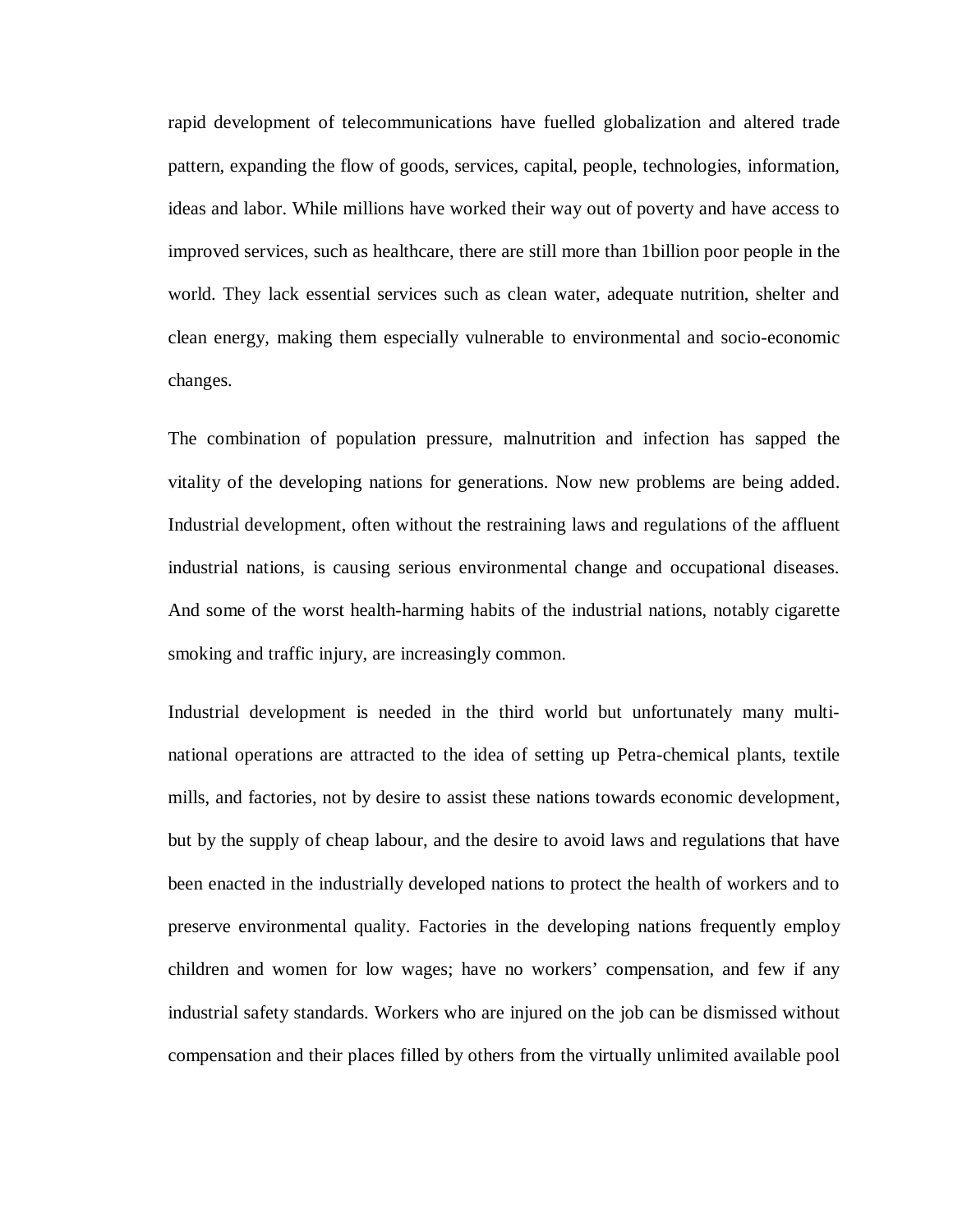rapid development of telecommunications have fuelled globalization and altered trade pattern, expanding the flow of goods, services, capital, people, technologies, information, ideas and labor. While millions have worked their way out of poverty and have access to improved services, such as healthcare, there are still more than 1billion poor people in the world. They lack essential services such as clean water, adequate nutrition, shelter and clean energy, making them especially vulnerable to environmental and socio-economic changes.

The combination of population pressure, malnutrition and infection has sapped the vitality of the developing nations for generations. Now new problems are being added. Industrial development, often without the restraining laws and regulations of the affluent industrial nations, is causing serious environmental change and occupational diseases. And some of the worst health-harming habits of the industrial nations, notably cigarette smoking and traffic injury, are increasingly common.

Industrial development is needed in the third world but unfortunately many multinational operations are attracted to the idea of setting up Petra-chemical plants, textile mills, and factories, not by desire to assist these nations towards economic development, but by the supply of cheap labour, and the desire to avoid laws and regulations that have been enacted in the industrially developed nations to protect the health of workers and to preserve environmental quality. Factories in the developing nations frequently employ children and women for low wages; have no workers' compensation, and few if any industrial safety standards. Workers who are injured on the job can be dismissed without compensation and their places filled by others from the virtually unlimited available pool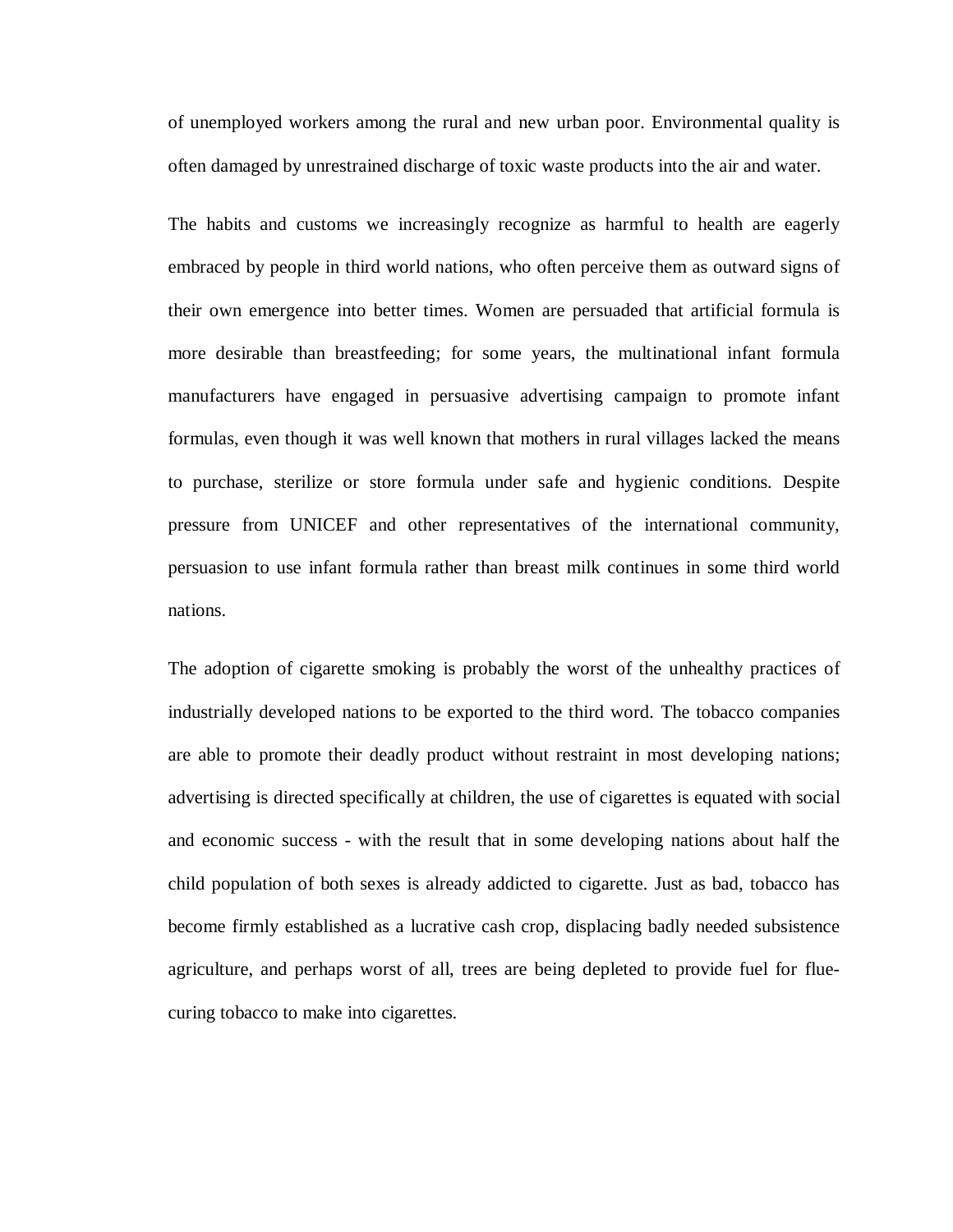of unemployed workers among the rural and new urban poor. Environmental quality is often damaged by unrestrained discharge of toxic waste products into the air and water.

The habits and customs we increasingly recognize as harmful to health are eagerly embraced by people in third world nations, who often perceive them as outward signs of their own emergence into better times. Women are persuaded that artificial formula is more desirable than breastfeeding; for some years, the multinational infant formula manufacturers have engaged in persuasive advertising campaign to promote infant formulas, even though it was well known that mothers in rural villages lacked the means to purchase, sterilize or store formula under safe and hygienic conditions. Despite pressure from UNICEF and other representatives of the international community, persuasion to use infant formula rather than breast milk continues in some third world nations.

The adoption of cigarette smoking is probably the worst of the unhealthy practices of industrially developed nations to be exported to the third word. The tobacco companies are able to promote their deadly product without restraint in most developing nations; advertising is directed specifically at children, the use of cigarettes is equated with social and economic success - with the result that in some developing nations about half the child population of both sexes is already addicted to cigarette. Just as bad, tobacco has become firmly established as a lucrative cash crop, displacing badly needed subsistence agriculture, and perhaps worst of all, trees are being depleted to provide fuel for fluecuring tobacco to make into cigarettes.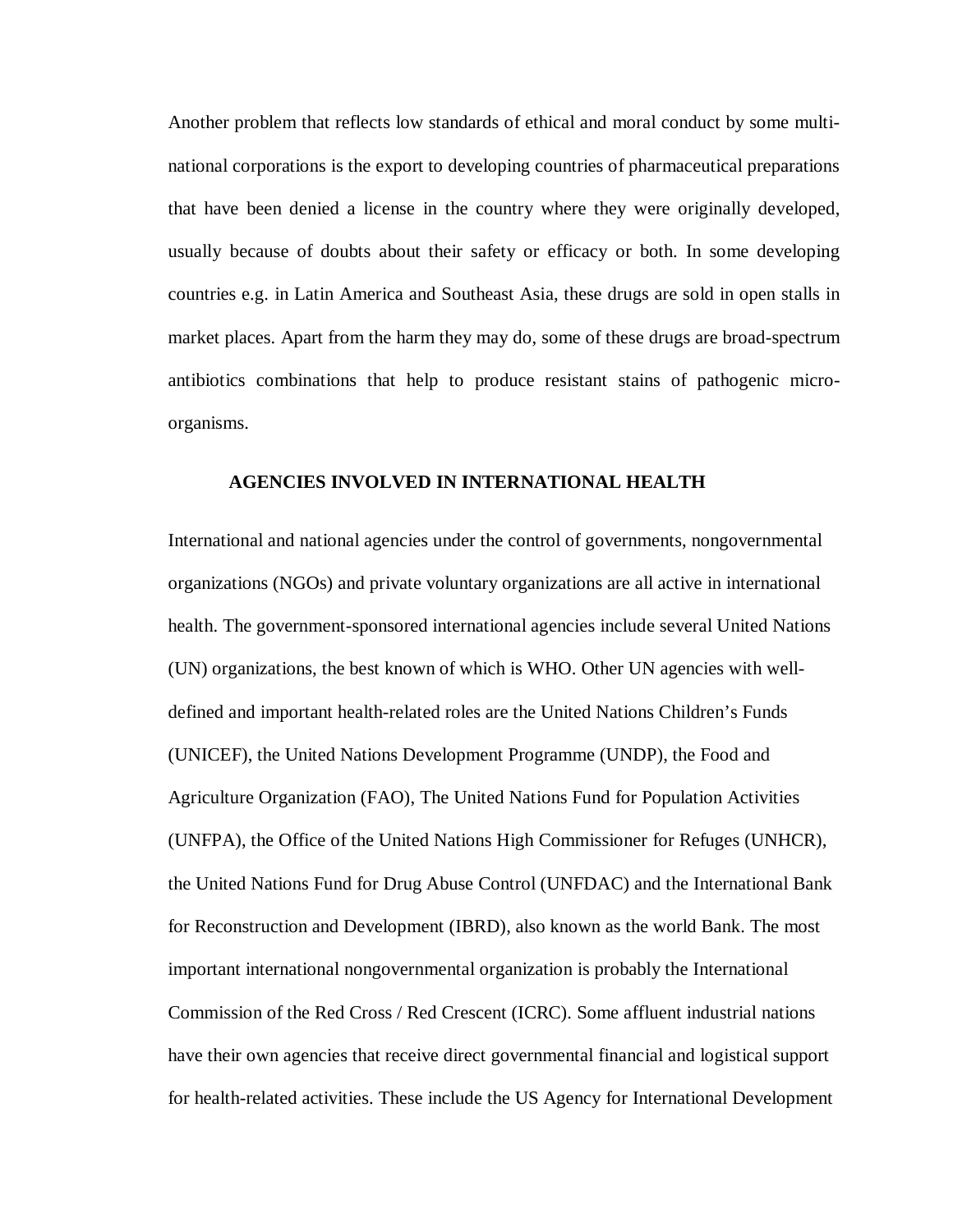Another problem that reflects low standards of ethical and moral conduct by some multinational corporations is the export to developing countries of pharmaceutical preparations that have been denied a license in the country where they were originally developed, usually because of doubts about their safety or efficacy or both. In some developing countries e.g. in Latin America and Southeast Asia, these drugs are sold in open stalls in market places. Apart from the harm they may do, some of these drugs are broad-spectrum antibiotics combinations that help to produce resistant stains of pathogenic microorganisms.

### **AGENCIES INVOLVED IN INTERNATIONAL HEALTH**

International and national agencies under the control of governments, nongovernmental organizations (NGOs) and private voluntary organizations are all active in international health. The government-sponsored international agencies include several United Nations (UN) organizations, the best known of which is WHO. Other UN agencies with welldefined and important health-related roles are the United Nations Children's Funds (UNICEF), the United Nations Development Programme (UNDP), the Food and Agriculture Organization (FAO), The United Nations Fund for Population Activities (UNFPA), the Office of the United Nations High Commissioner for Refuges (UNHCR), the United Nations Fund for Drug Abuse Control (UNFDAC) and the International Bank for Reconstruction and Development (IBRD), also known as the world Bank. The most important international nongovernmental organization is probably the International Commission of the Red Cross / Red Crescent (ICRC). Some affluent industrial nations have their own agencies that receive direct governmental financial and logistical support for health-related activities. These include the US Agency for International Development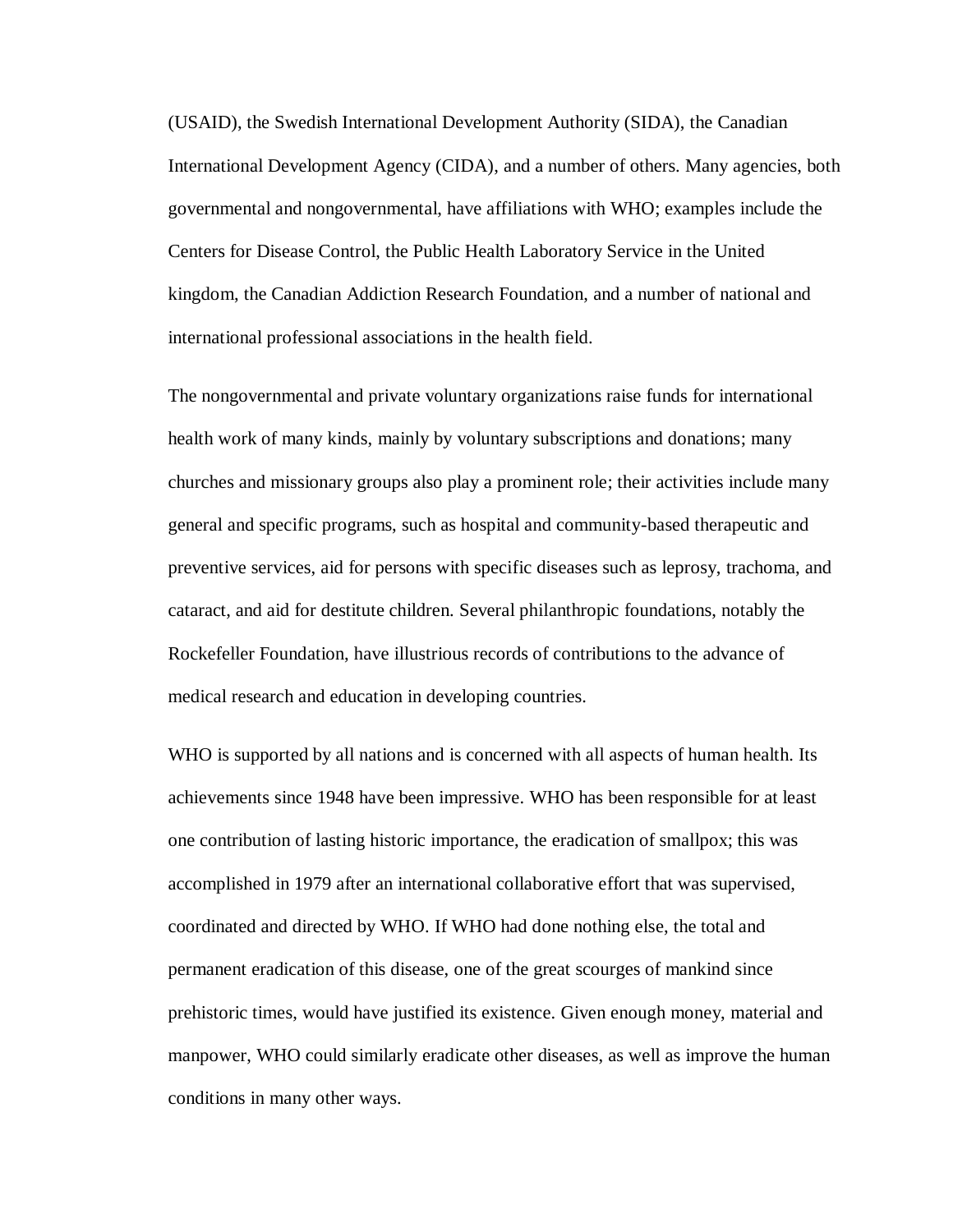(USAID), the Swedish International Development Authority (SIDA), the Canadian International Development Agency (CIDA), and a number of others. Many agencies, both governmental and nongovernmental, have affiliations with WHO; examples include the Centers for Disease Control, the Public Health Laboratory Service in the United kingdom, the Canadian Addiction Research Foundation, and a number of national and international professional associations in the health field.

The nongovernmental and private voluntary organizations raise funds for international health work of many kinds, mainly by voluntary subscriptions and donations; many churches and missionary groups also play a prominent role; their activities include many general and specific programs, such as hospital and community-based therapeutic and preventive services, aid for persons with specific diseases such as leprosy, trachoma, and cataract, and aid for destitute children. Several philanthropic foundations, notably the Rockefeller Foundation, have illustrious records of contributions to the advance of medical research and education in developing countries.

WHO is supported by all nations and is concerned with all aspects of human health. Its achievements since 1948 have been impressive. WHO has been responsible for at least one contribution of lasting historic importance, the eradication of smallpox; this was accomplished in 1979 after an international collaborative effort that was supervised, coordinated and directed by WHO. If WHO had done nothing else, the total and permanent eradication of this disease, one of the great scourges of mankind since prehistoric times, would have justified its existence. Given enough money, material and manpower, WHO could similarly eradicate other diseases, as well as improve the human conditions in many other ways.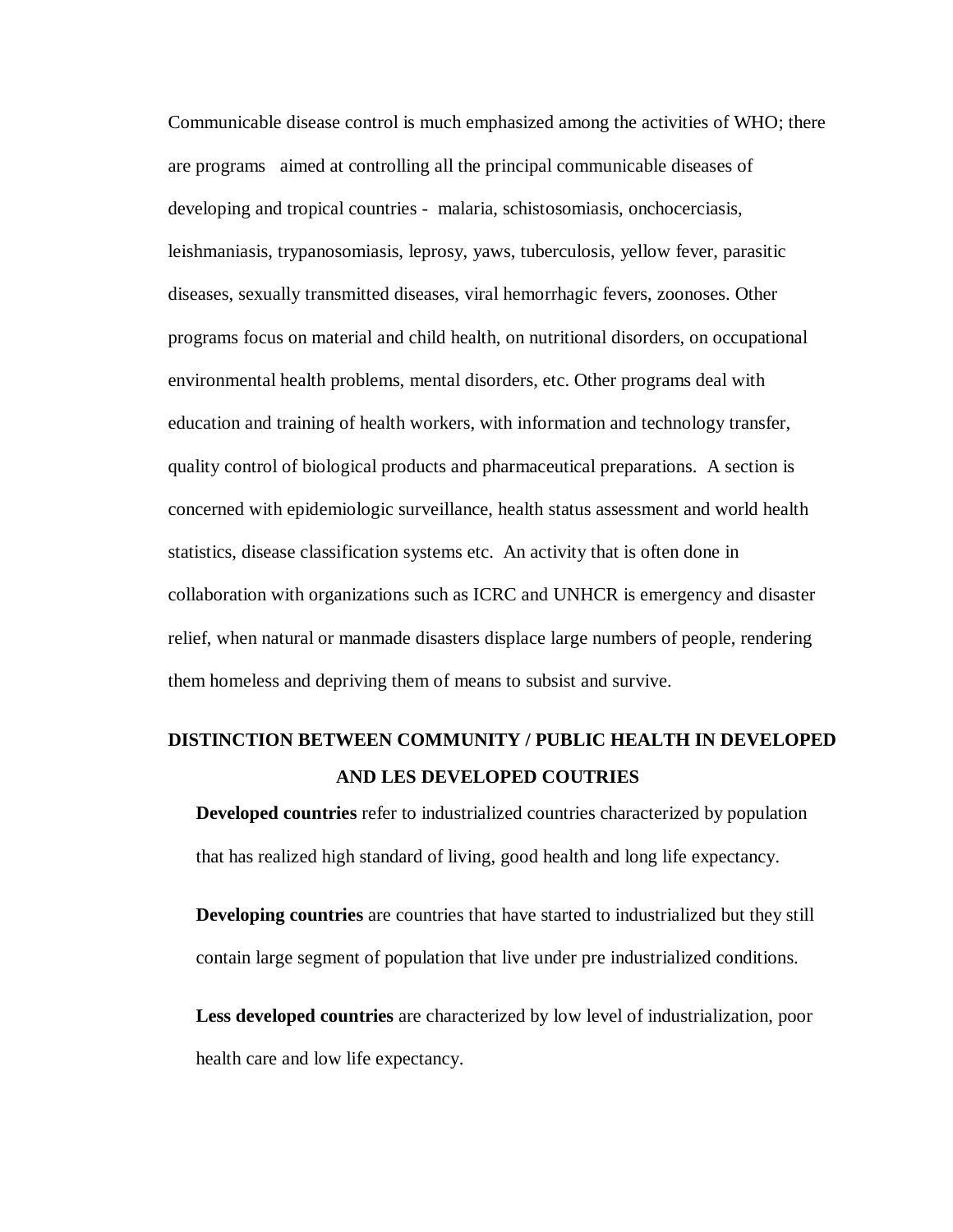Communicable disease control is much emphasized among the activities of WHO; there are programs aimed at controlling all the principal communicable diseases of developing and tropical countries - malaria, schistosomiasis, onchocerciasis, leishmaniasis, trypanosomiasis, leprosy, yaws, tuberculosis, yellow fever, parasitic diseases, sexually transmitted diseases, viral hemorrhagic fevers, zoonoses. Other programs focus on material and child health, on nutritional disorders, on occupational environmental health problems, mental disorders, etc. Other programs deal with education and training of health workers, with information and technology transfer, quality control of biological products and pharmaceutical preparations. A section is concerned with epidemiologic surveillance, health status assessment and world health statistics, disease classification systems etc. An activity that is often done in collaboration with organizations such as ICRC and UNHCR is emergency and disaster relief, when natural or manmade disasters displace large numbers of people, rendering them homeless and depriving them of means to subsist and survive.

## **DISTINCTION BETWEEN COMMUNITY / PUBLIC HEALTH IN DEVELOPED AND LES DEVELOPED COUTRIES**

**Developed countries** refer to industrialized countries characterized by population that has realized high standard of living, good health and long life expectancy.

**Developing countries** are countries that have started to industrialized but they still contain large segment of population that live under pre industrialized conditions.

**Less developed countries** are characterized by low level of industrialization, poor health care and low life expectancy.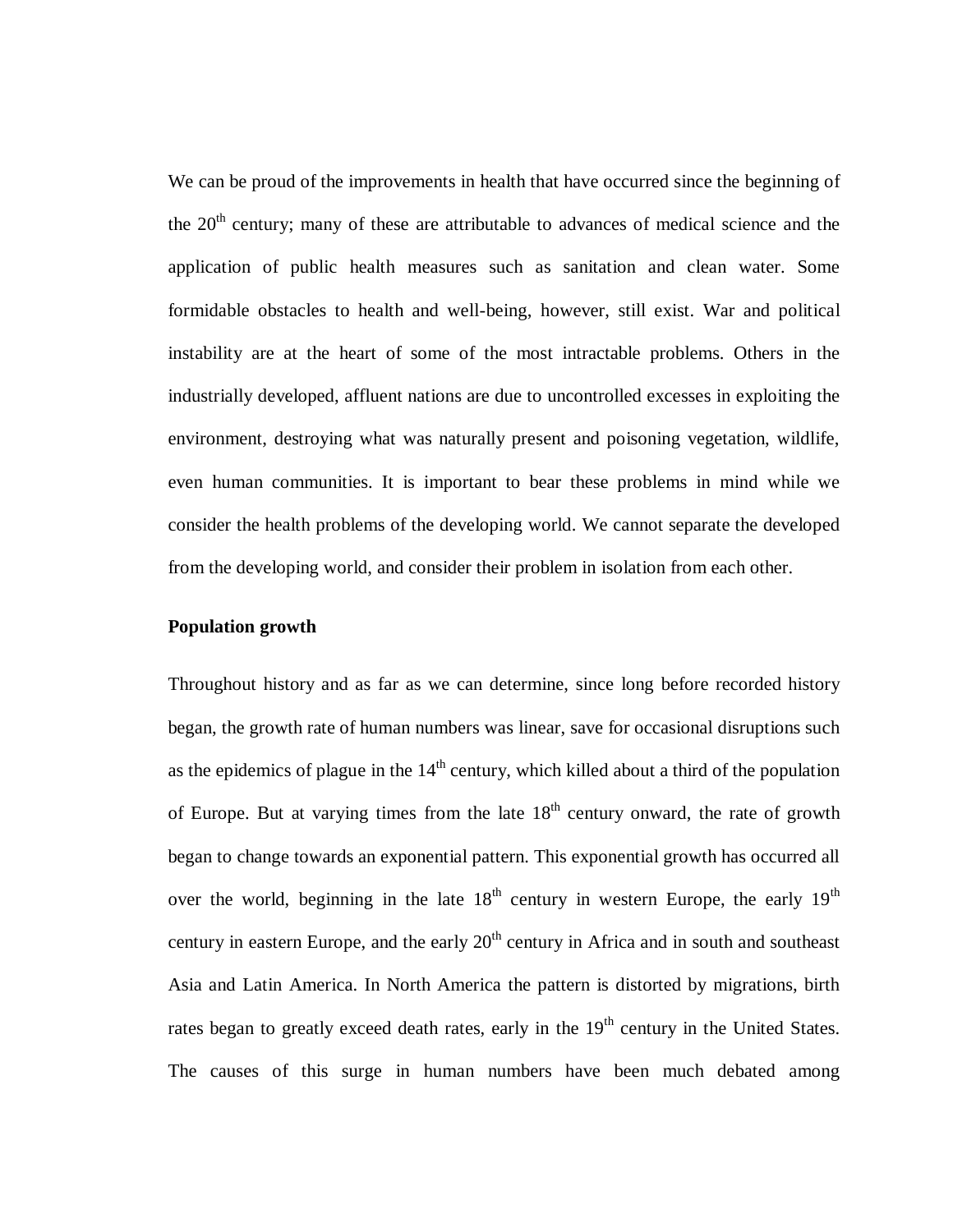We can be proud of the improvements in health that have occurred since the beginning of the  $20<sup>th</sup>$  century; many of these are attributable to advances of medical science and the application of public health measures such as sanitation and clean water. Some formidable obstacles to health and well-being, however, still exist. War and political instability are at the heart of some of the most intractable problems. Others in the industrially developed, affluent nations are due to uncontrolled excesses in exploiting the environment, destroying what was naturally present and poisoning vegetation, wildlife, even human communities. It is important to bear these problems in mind while we consider the health problems of the developing world. We cannot separate the developed from the developing world, and consider their problem in isolation from each other.

### **Population growth**

Throughout history and as far as we can determine, since long before recorded history began, the growth rate of human numbers was linear, save for occasional disruptions such as the epidemics of plague in the  $14<sup>th</sup>$  century, which killed about a third of the population of Europe. But at varying times from the late  $18<sup>th</sup>$  century onward, the rate of growth began to change towards an exponential pattern. This exponential growth has occurred all over the world, beginning in the late  $18<sup>th</sup>$  century in western Europe, the early  $19<sup>th</sup>$ century in eastern Europe, and the early  $20<sup>th</sup>$  century in Africa and in south and southeast Asia and Latin America. In North America the pattern is distorted by migrations, birth rates began to greatly exceed death rates, early in the  $19<sup>th</sup>$  century in the United States. The causes of this surge in human numbers have been much debated among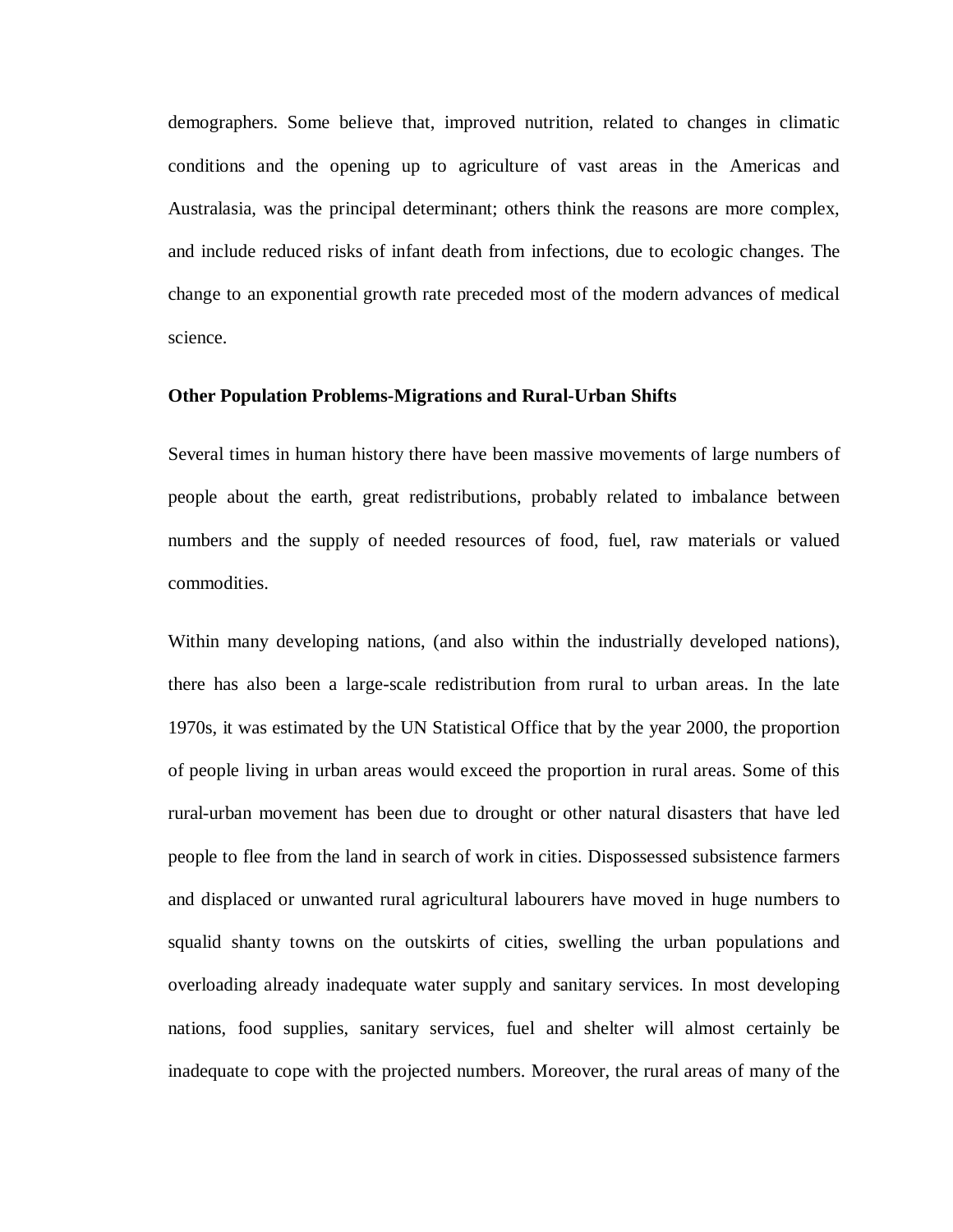demographers. Some believe that, improved nutrition, related to changes in climatic conditions and the opening up to agriculture of vast areas in the Americas and Australasia, was the principal determinant; others think the reasons are more complex, and include reduced risks of infant death from infections, due to ecologic changes. The change to an exponential growth rate preceded most of the modern advances of medical science.

### **Other Population Problems-Migrations and Rural-Urban Shifts**

Several times in human history there have been massive movements of large numbers of people about the earth, great redistributions, probably related to imbalance between numbers and the supply of needed resources of food, fuel, raw materials or valued commodities.

Within many developing nations, (and also within the industrially developed nations), there has also been a large-scale redistribution from rural to urban areas. In the late 1970s, it was estimated by the UN Statistical Office that by the year 2000, the proportion of people living in urban areas would exceed the proportion in rural areas. Some of this rural-urban movement has been due to drought or other natural disasters that have led people to flee from the land in search of work in cities. Dispossessed subsistence farmers and displaced or unwanted rural agricultural labourers have moved in huge numbers to squalid shanty towns on the outskirts of cities, swelling the urban populations and overloading already inadequate water supply and sanitary services. In most developing nations, food supplies, sanitary services, fuel and shelter will almost certainly be inadequate to cope with the projected numbers. Moreover, the rural areas of many of the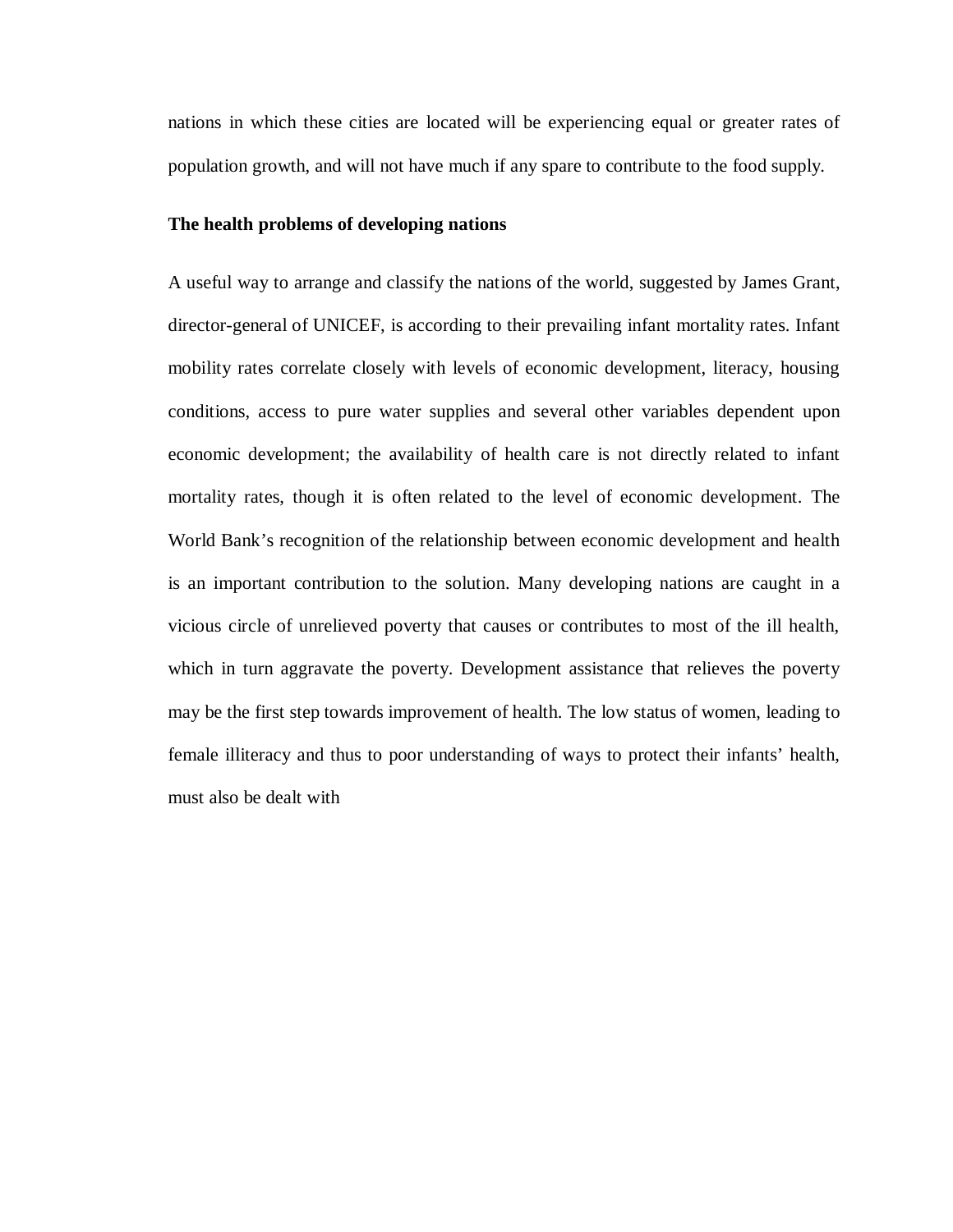nations in which these cities are located will be experiencing equal or greater rates of population growth, and will not have much if any spare to contribute to the food supply.

### **The health problems of developing nations**

A useful way to arrange and classify the nations of the world, suggested by James Grant, director-general of UNICEF, is according to their prevailing infant mortality rates. Infant mobility rates correlate closely with levels of economic development, literacy, housing conditions, access to pure water supplies and several other variables dependent upon economic development; the availability of health care is not directly related to infant mortality rates, though it is often related to the level of economic development. The World Bank's recognition of the relationship between economic development and health is an important contribution to the solution. Many developing nations are caught in a vicious circle of unrelieved poverty that causes or contributes to most of the ill health, which in turn aggravate the poverty. Development assistance that relieves the poverty may be the first step towards improvement of health. The low status of women, leading to female illiteracy and thus to poor understanding of ways to protect their infants' health, must also be dealt with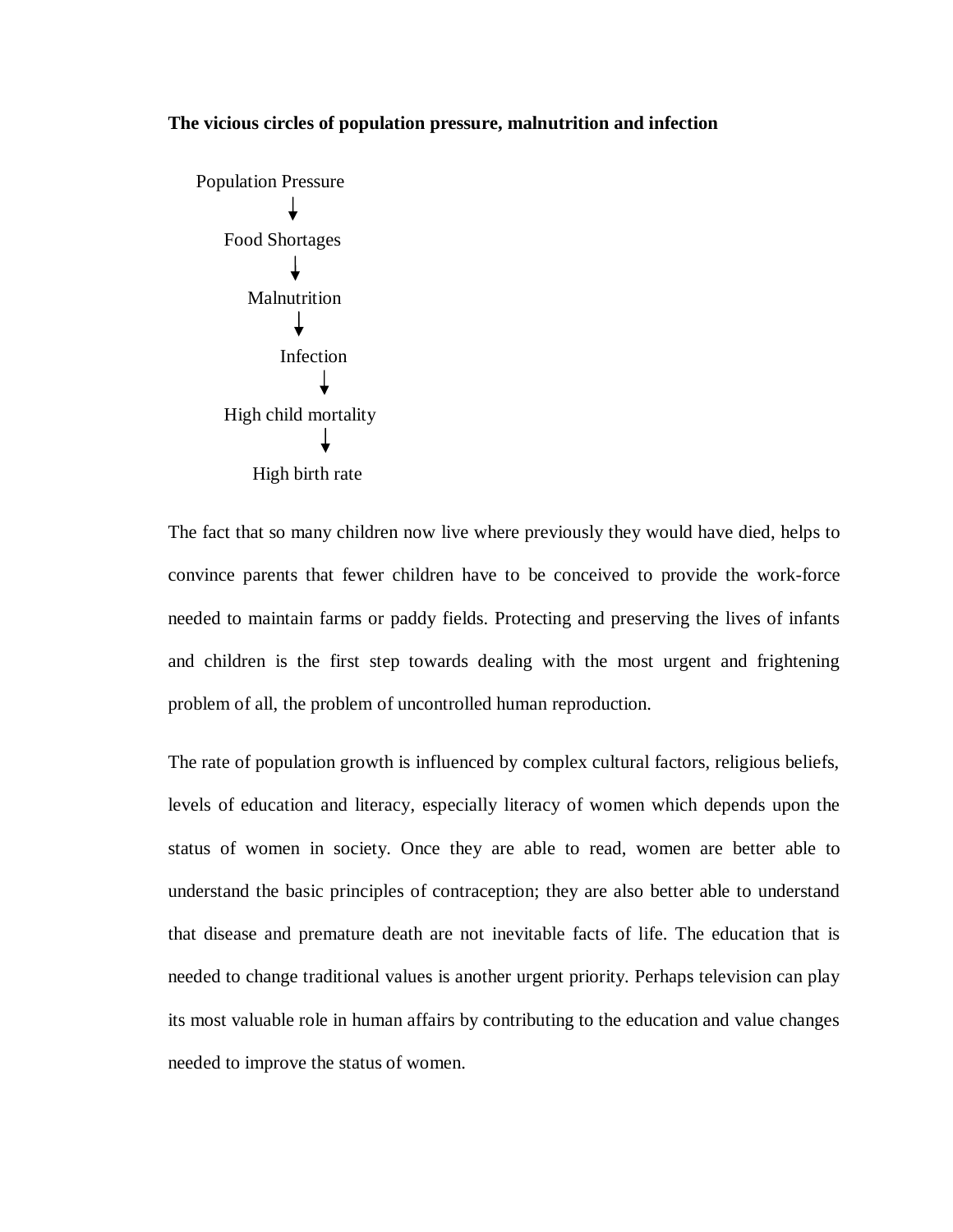### **The vicious circles of population pressure, malnutrition and infection**



The fact that so many children now live where previously they would have died, helps to convince parents that fewer children have to be conceived to provide the work-force needed to maintain farms or paddy fields. Protecting and preserving the lives of infants and children is the first step towards dealing with the most urgent and frightening problem of all, the problem of uncontrolled human reproduction.

The rate of population growth is influenced by complex cultural factors, religious beliefs, levels of education and literacy, especially literacy of women which depends upon the status of women in society. Once they are able to read, women are better able to understand the basic principles of contraception; they are also better able to understand that disease and premature death are not inevitable facts of life. The education that is needed to change traditional values is another urgent priority. Perhaps television can play its most valuable role in human affairs by contributing to the education and value changes needed to improve the status of women.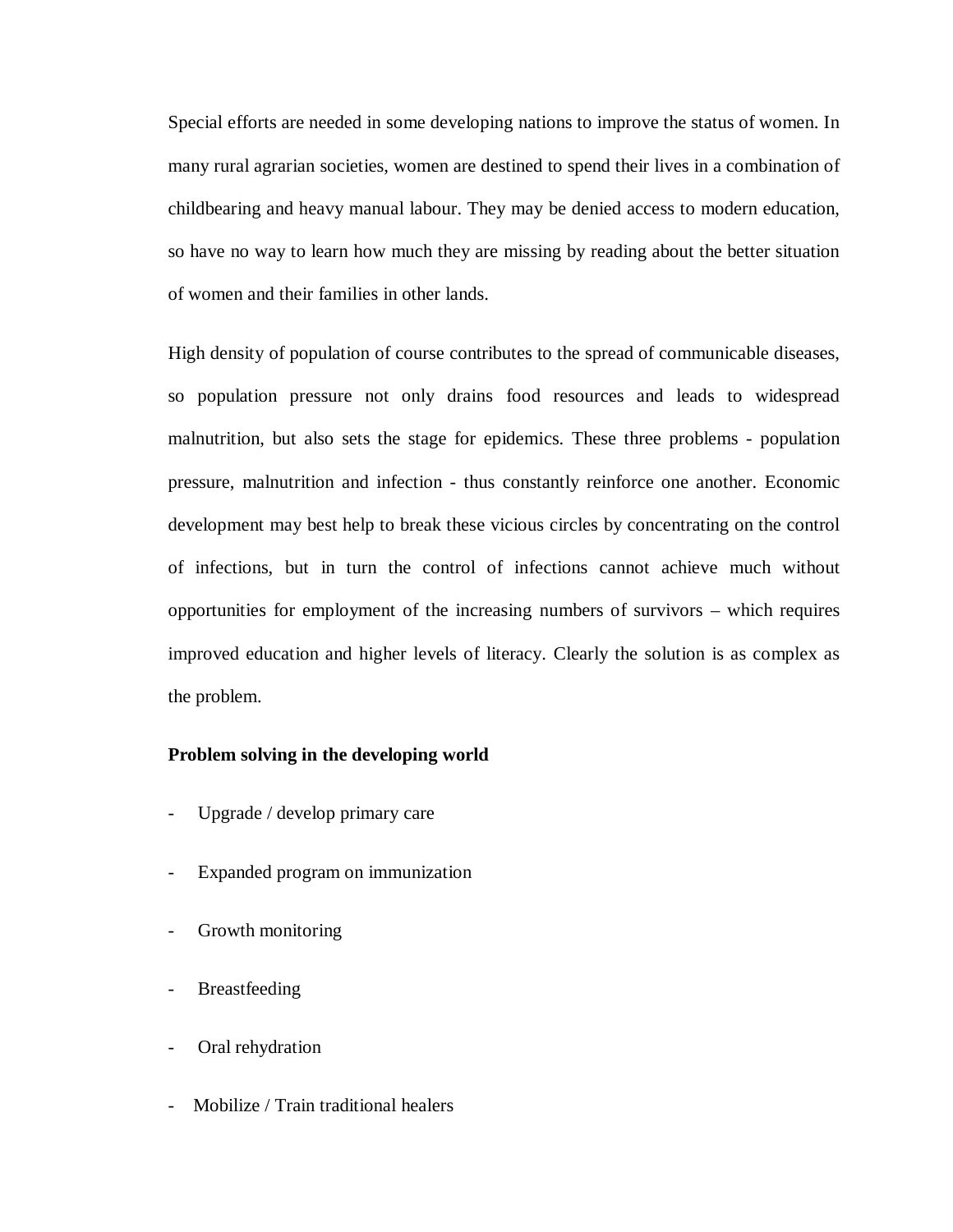Special efforts are needed in some developing nations to improve the status of women. In many rural agrarian societies, women are destined to spend their lives in a combination of childbearing and heavy manual labour. They may be denied access to modern education, so have no way to learn how much they are missing by reading about the better situation of women and their families in other lands.

High density of population of course contributes to the spread of communicable diseases, so population pressure not only drains food resources and leads to widespread malnutrition, but also sets the stage for epidemics. These three problems - population pressure, malnutrition and infection - thus constantly reinforce one another. Economic development may best help to break these vicious circles by concentrating on the control of infections, but in turn the control of infections cannot achieve much without opportunities for employment of the increasing numbers of survivors – which requires improved education and higher levels of literacy. Clearly the solution is as complex as the problem.

### **Problem solving in the developing world**

- Upgrade / develop primary care
- Expanded program on immunization
- Growth monitoring
- **Breastfeeding**
- Oral rehydration
- Mobilize / Train traditional healers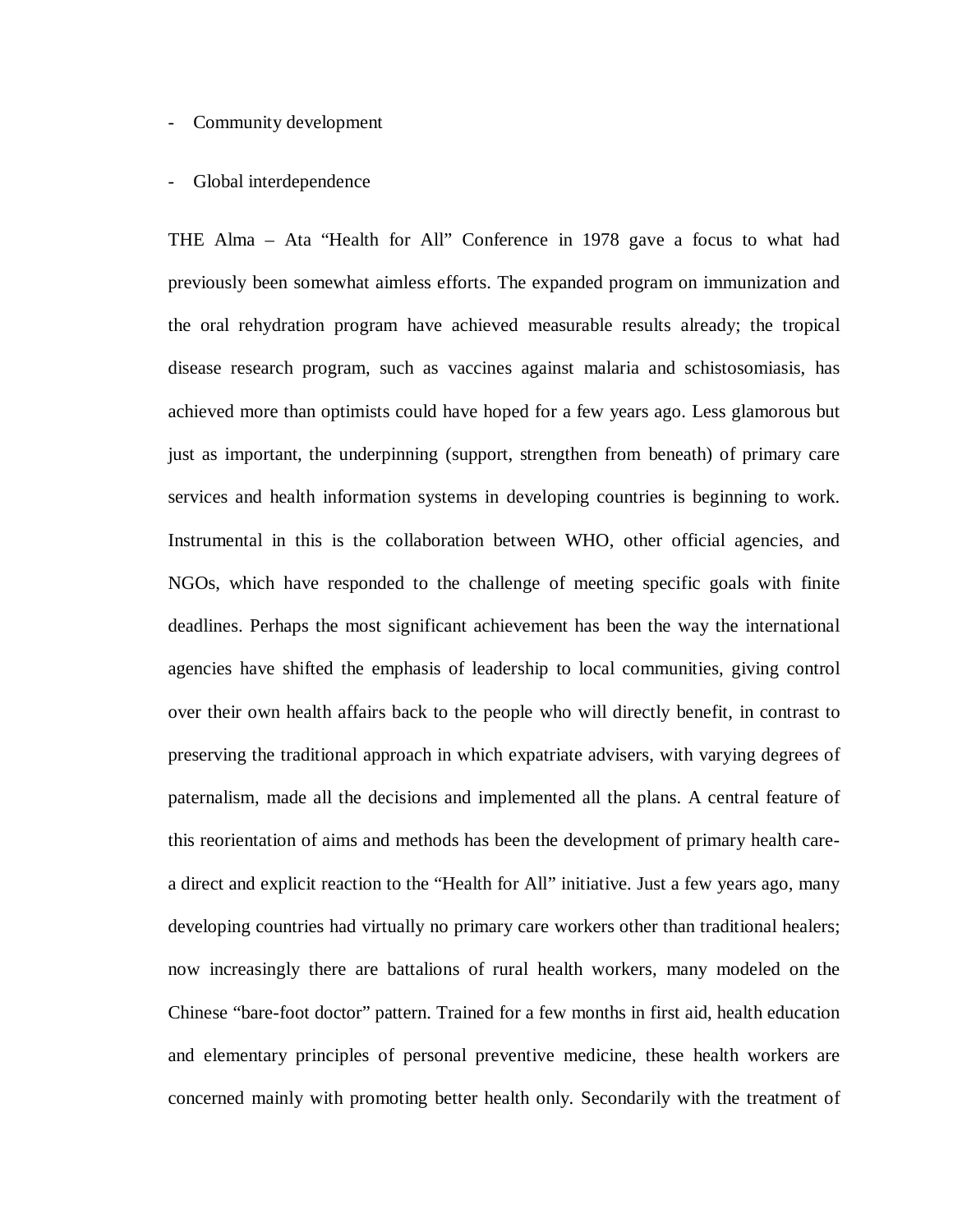### - Community development

### - Global interdependence

THE Alma – Ata "Health for All" Conference in 1978 gave a focus to what had previously been somewhat aimless efforts. The expanded program on immunization and the oral rehydration program have achieved measurable results already; the tropical disease research program, such as vaccines against malaria and schistosomiasis, has achieved more than optimists could have hoped for a few years ago. Less glamorous but just as important, the underpinning (support, strengthen from beneath) of primary care services and health information systems in developing countries is beginning to work. Instrumental in this is the collaboration between WHO, other official agencies, and NGOs, which have responded to the challenge of meeting specific goals with finite deadlines. Perhaps the most significant achievement has been the way the international agencies have shifted the emphasis of leadership to local communities, giving control over their own health affairs back to the people who will directly benefit, in contrast to preserving the traditional approach in which expatriate advisers, with varying degrees of paternalism, made all the decisions and implemented all the plans. A central feature of this reorientation of aims and methods has been the development of primary health carea direct and explicit reaction to the "Health for All" initiative. Just a few years ago, many developing countries had virtually no primary care workers other than traditional healers; now increasingly there are battalions of rural health workers, many modeled on the Chinese "bare-foot doctor" pattern. Trained for a few months in first aid, health education and elementary principles of personal preventive medicine, these health workers are concerned mainly with promoting better health only. Secondarily with the treatment of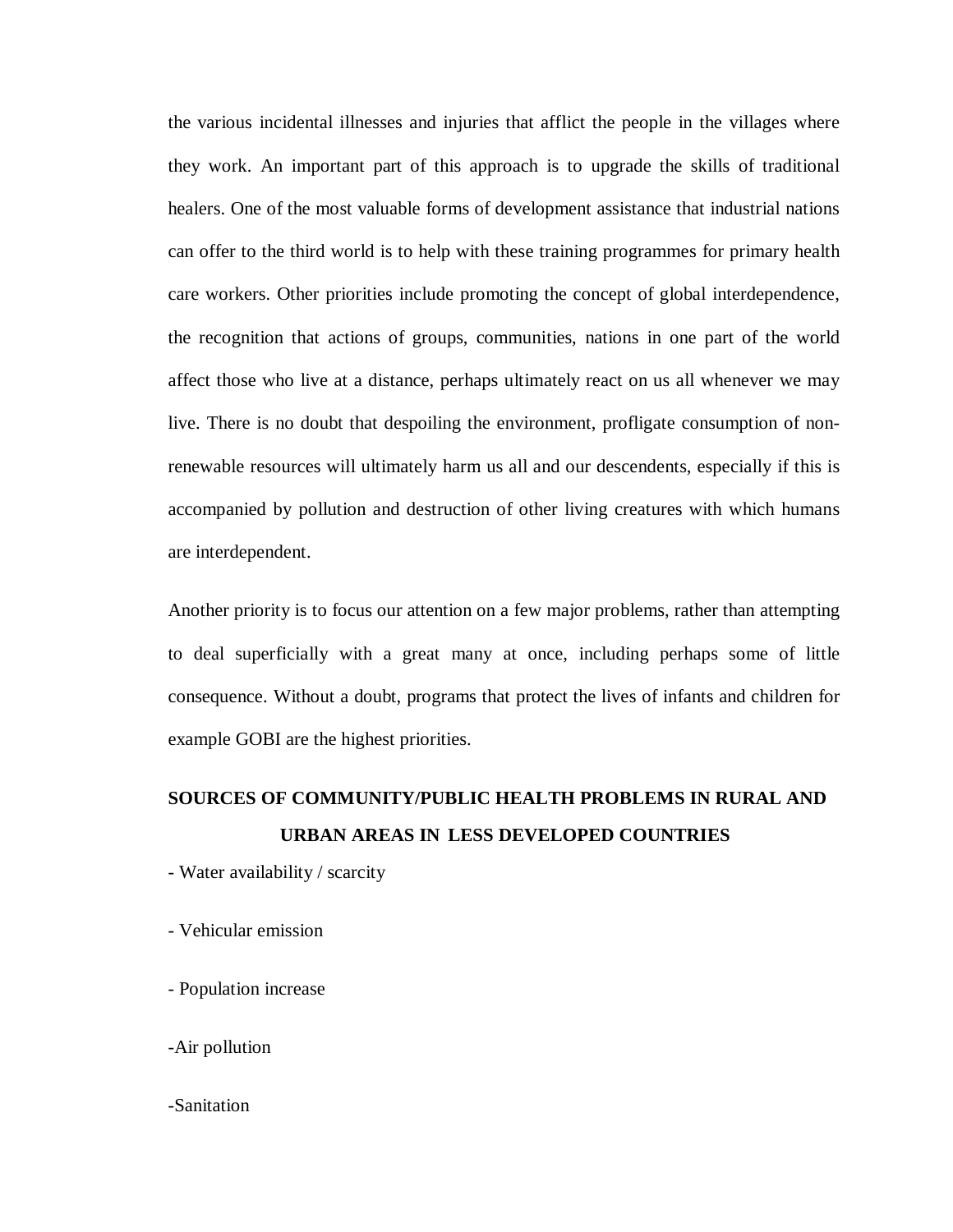the various incidental illnesses and injuries that afflict the people in the villages where they work. An important part of this approach is to upgrade the skills of traditional healers. One of the most valuable forms of development assistance that industrial nations can offer to the third world is to help with these training programmes for primary health care workers. Other priorities include promoting the concept of global interdependence, the recognition that actions of groups, communities, nations in one part of the world affect those who live at a distance, perhaps ultimately react on us all whenever we may live. There is no doubt that despoiling the environment, profligate consumption of nonrenewable resources will ultimately harm us all and our descendents, especially if this is accompanied by pollution and destruction of other living creatures with which humans are interdependent.

Another priority is to focus our attention on a few major problems, rather than attempting to deal superficially with a great many at once, including perhaps some of little consequence. Without a doubt, programs that protect the lives of infants and children for example GOBI are the highest priorities.

# **SOURCES OF COMMUNITY/PUBLIC HEALTH PROBLEMS IN RURAL AND URBAN AREAS IN LESS DEVELOPED COUNTRIES**

- Water availability / scarcity
- Vehicular emission
- Population increase
- -Air pollution

### -Sanitation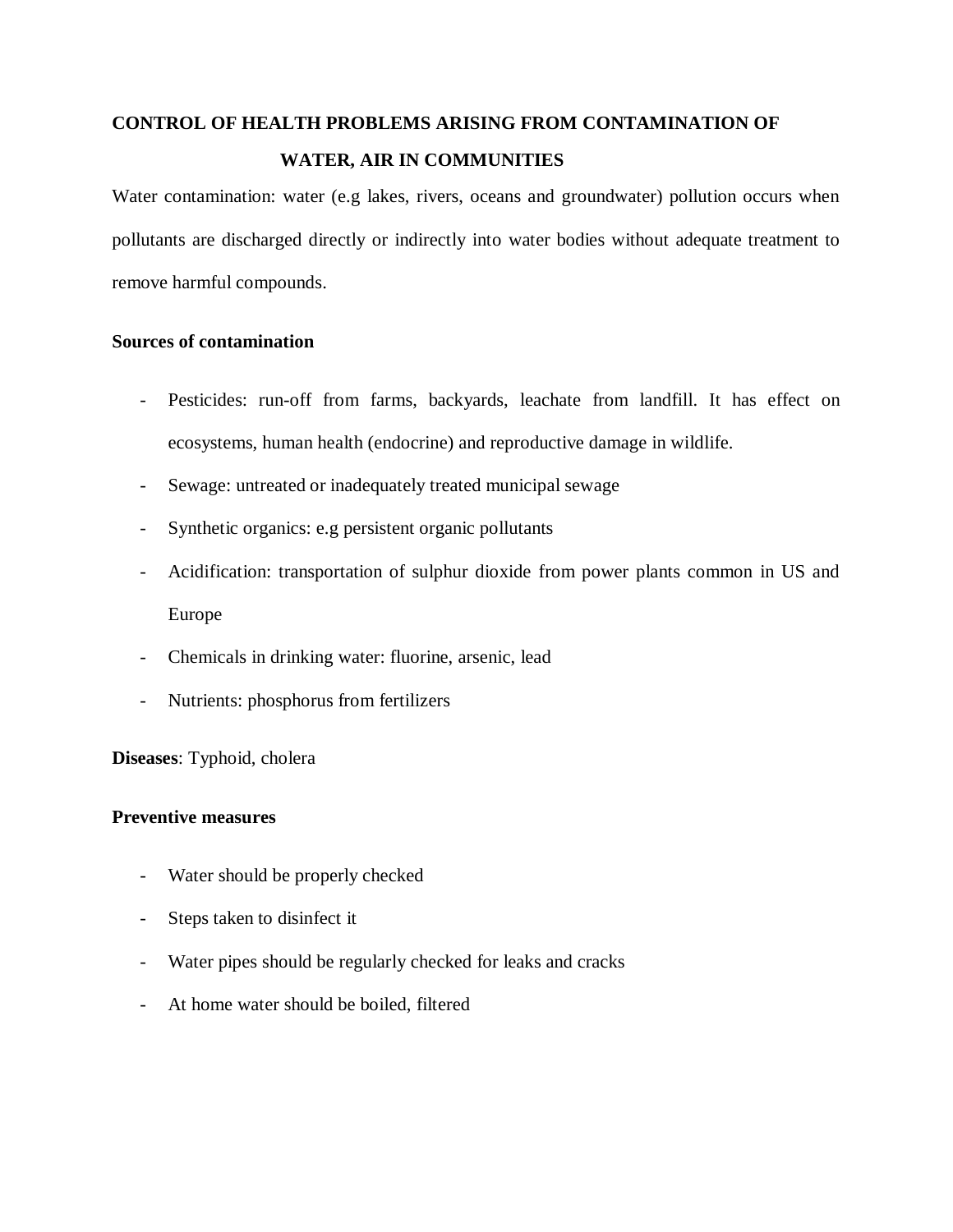## **CONTROL OF HEALTH PROBLEMS ARISING FROM CONTAMINATION OF WATER, AIR IN COMMUNITIES**

Water contamination: water (e.g lakes, rivers, oceans and groundwater) pollution occurs when pollutants are discharged directly or indirectly into water bodies without adequate treatment to remove harmful compounds.

## **Sources of contamination**

- Pesticides: run-off from farms, backyards, leachate from landfill. It has effect on ecosystems, human health (endocrine) and reproductive damage in wildlife.
- Sewage: untreated or inadequately treated municipal sewage
- Synthetic organics: e.g persistent organic pollutants
- Acidification: transportation of sulphur dioxide from power plants common in US and Europe
- Chemicals in drinking water: fluorine, arsenic, lead
- Nutrients: phosphorus from fertilizers

**Diseases**: Typhoid, cholera

## **Preventive measures**

- Water should be properly checked
- Steps taken to disinfect it
- Water pipes should be regularly checked for leaks and cracks
- At home water should be boiled, filtered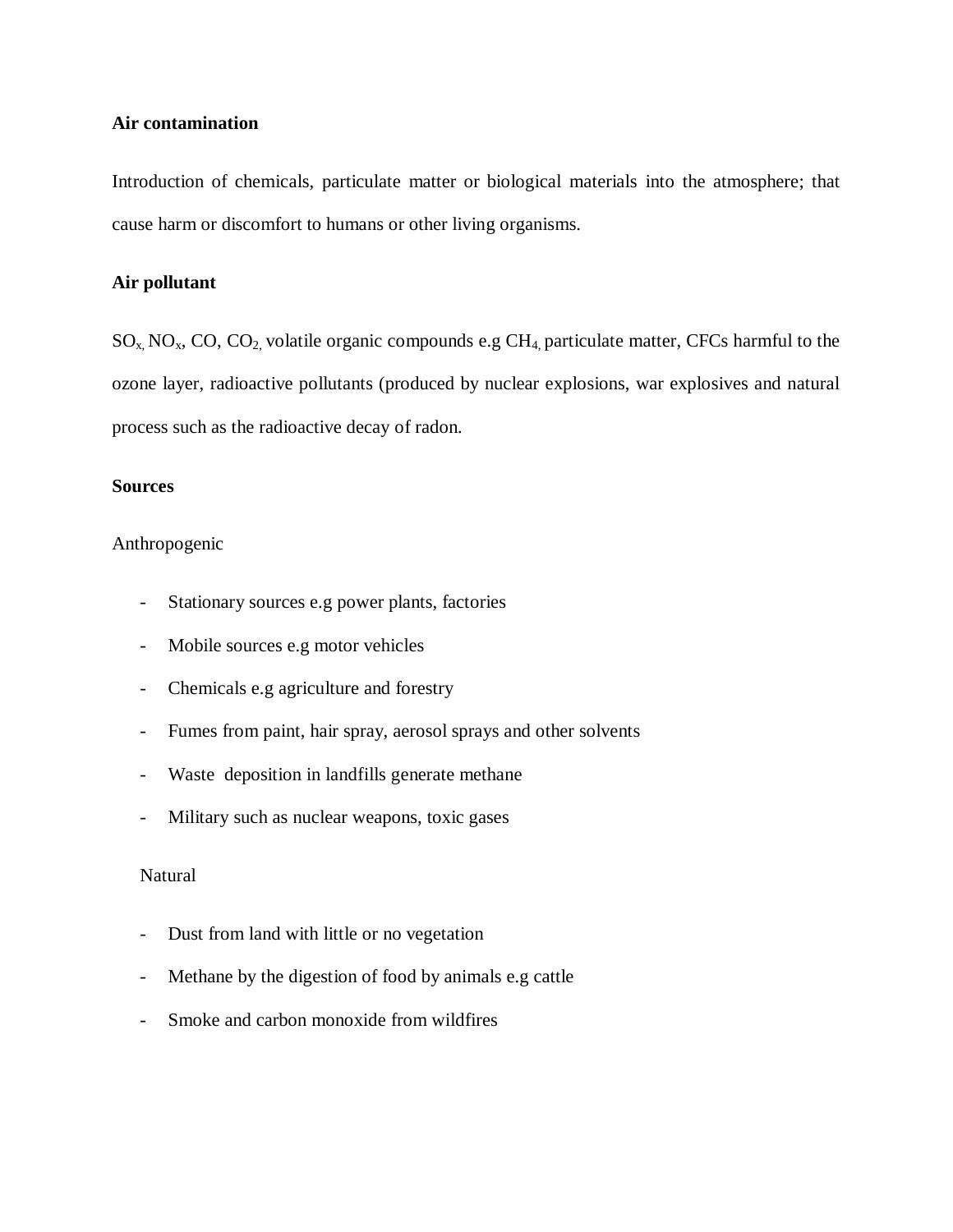### **Air contamination**

Introduction of chemicals, particulate matter or biological materials into the atmosphere; that cause harm or discomfort to humans or other living organisms.

## **Air pollutant**

 $SO_x, NO_x, CO, CO_2$  volatile organic compounds e.g CH<sub>4</sub> particulate matter, CFCs harmful to the ozone layer, radioactive pollutants (produced by nuclear explosions, war explosives and natural process such as the radioactive decay of radon.

### **Sources**

Anthropogenic

- Stationary sources e.g power plants, factories
- Mobile sources e.g motor vehicles
- Chemicals e.g agriculture and forestry
- Fumes from paint, hair spray, aerosol sprays and other solvents
- Waste deposition in landfills generate methane
- Military such as nuclear weapons, toxic gases

## Natural

- Dust from land with little or no vegetation
- Methane by the digestion of food by animals e.g cattle
- Smoke and carbon monoxide from wildfires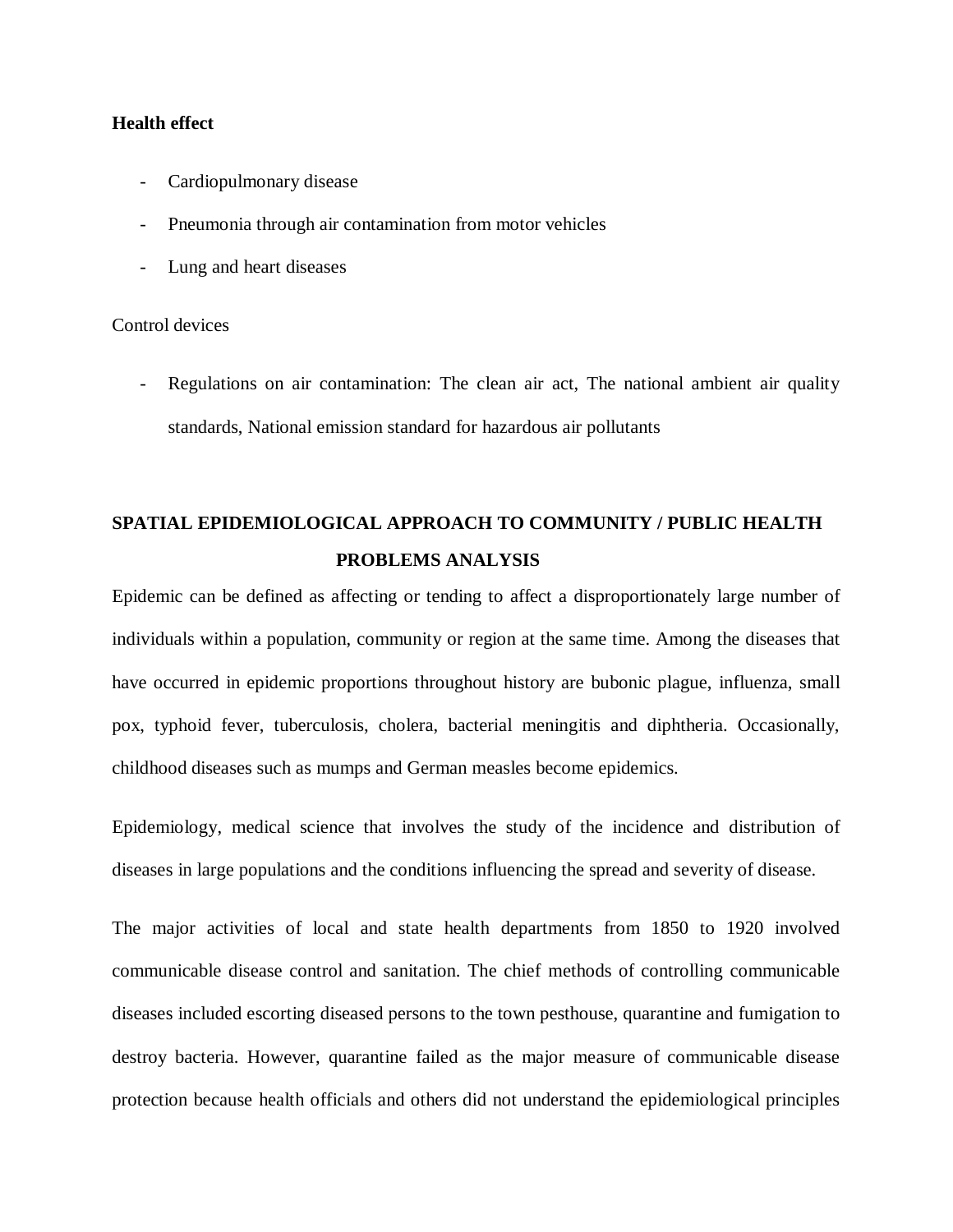### **Health effect**

- Cardiopulmonary disease
- Pneumonia through air contamination from motor vehicles
- Lung and heart diseases

Control devices

Regulations on air contamination: The clean air act, The national ambient air quality standards, National emission standard for hazardous air pollutants

## **SPATIAL EPIDEMIOLOGICAL APPROACH TO COMMUNITY / PUBLIC HEALTH PROBLEMS ANALYSIS**

Epidemic can be defined as affecting or tending to affect a disproportionately large number of individuals within a population, community or region at the same time. Among the diseases that have occurred in epidemic proportions throughout history are bubonic plague, influenza, small pox, typhoid fever, tuberculosis, cholera, bacterial meningitis and diphtheria. Occasionally, childhood diseases such as mumps and German measles become epidemics.

Epidemiology, medical science that involves the study of the incidence and distribution of diseases in large populations and the conditions influencing the spread and severity of disease.

The major activities of local and state health departments from 1850 to 1920 involved communicable disease control and sanitation. The chief methods of controlling communicable diseases included escorting diseased persons to the town pesthouse, quarantine and fumigation to destroy bacteria. However, quarantine failed as the major measure of communicable disease protection because health officials and others did not understand the epidemiological principles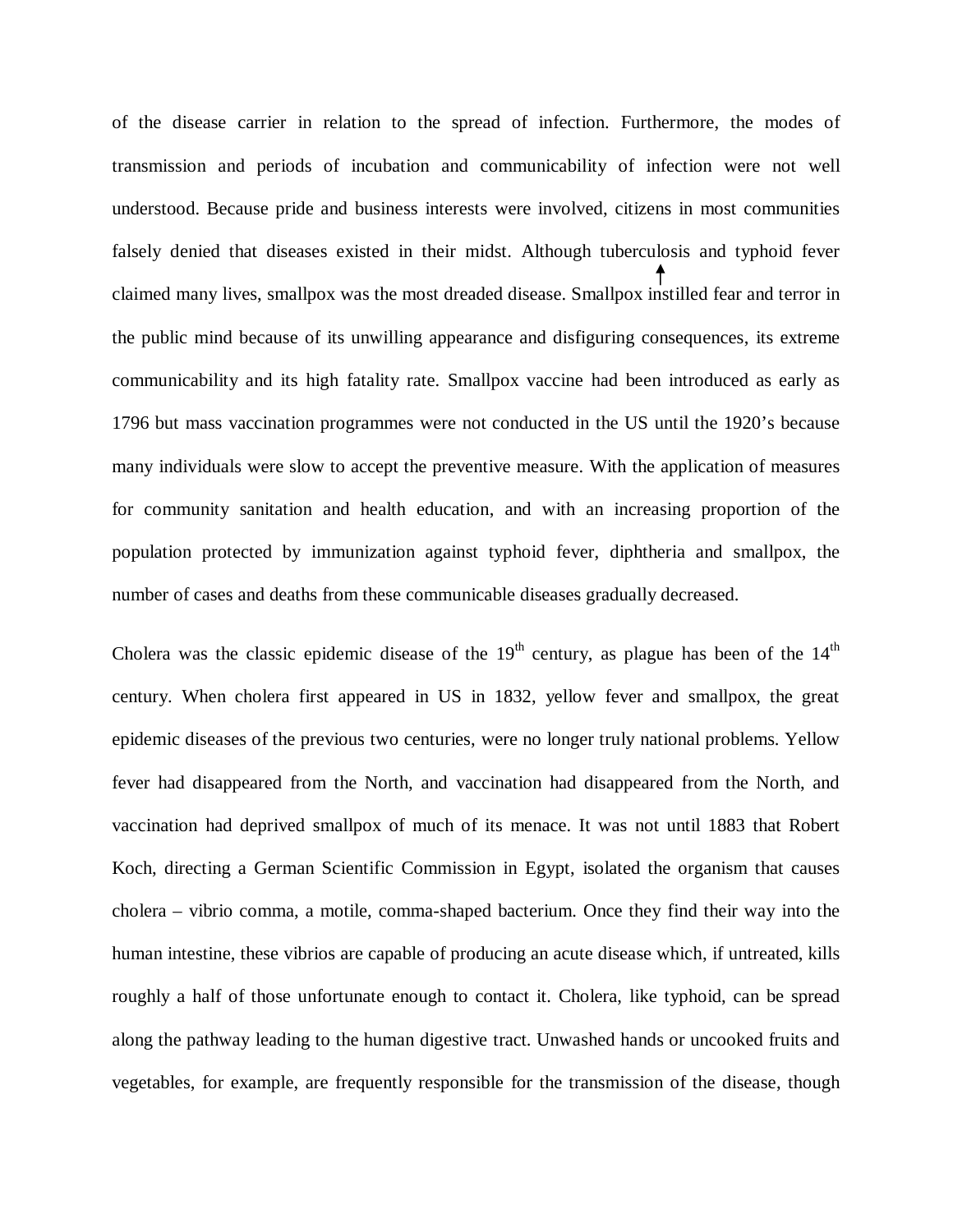of the disease carrier in relation to the spread of infection. Furthermore, the modes of transmission and periods of incubation and communicability of infection were not well understood. Because pride and business interests were involved, citizens in most communities falsely denied that diseases existed in their midst. Although tuberculosis and typhoid fever claimed many lives, smallpox was the most dreaded disease. Smallpox instilled fear and terror in the public mind because of its unwilling appearance and disfiguring consequences, its extreme communicability and its high fatality rate. Smallpox vaccine had been introduced as early as 1796 but mass vaccination programmes were not conducted in the US until the 1920's because many individuals were slow to accept the preventive measure. With the application of measures for community sanitation and health education, and with an increasing proportion of the population protected by immunization against typhoid fever, diphtheria and smallpox, the number of cases and deaths from these communicable diseases gradually decreased.

Cholera was the classic epidemic disease of the  $19<sup>th</sup>$  century, as plague has been of the  $14<sup>th</sup>$ century. When cholera first appeared in US in 1832, yellow fever and smallpox, the great epidemic diseases of the previous two centuries, were no longer truly national problems. Yellow fever had disappeared from the North, and vaccination had disappeared from the North, and vaccination had deprived smallpox of much of its menace. It was not until 1883 that Robert Koch, directing a German Scientific Commission in Egypt, isolated the organism that causes cholera – vibrio comma, a motile, comma-shaped bacterium. Once they find their way into the human intestine, these vibrios are capable of producing an acute disease which, if untreated, kills roughly a half of those unfortunate enough to contact it. Cholera, like typhoid, can be spread along the pathway leading to the human digestive tract. Unwashed hands or uncooked fruits and vegetables, for example, are frequently responsible for the transmission of the disease, though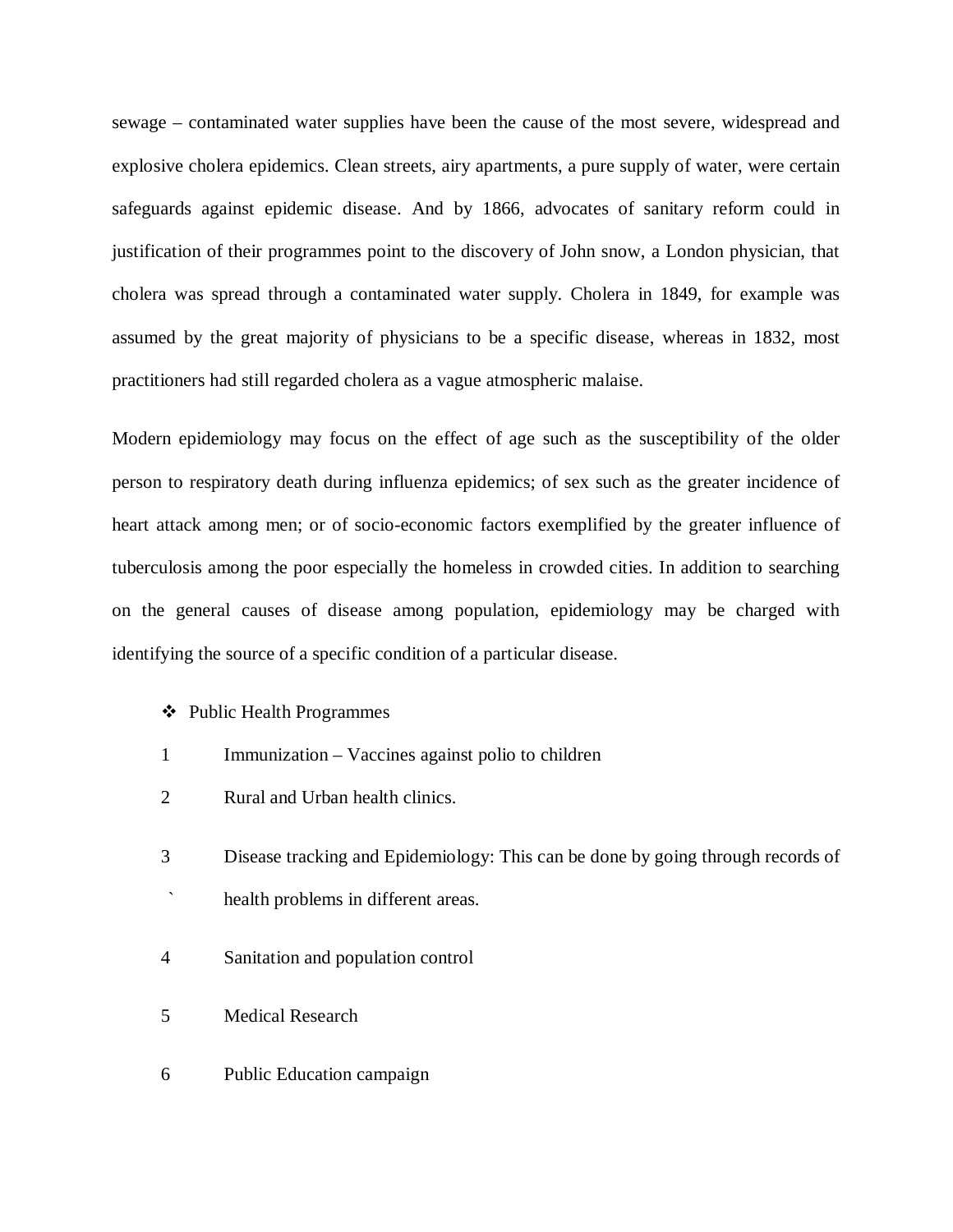sewage – contaminated water supplies have been the cause of the most severe, widespread and explosive cholera epidemics. Clean streets, airy apartments, a pure supply of water, were certain safeguards against epidemic disease. And by 1866, advocates of sanitary reform could in justification of their programmes point to the discovery of John snow, a London physician, that cholera was spread through a contaminated water supply. Cholera in 1849, for example was assumed by the great majority of physicians to be a specific disease, whereas in 1832, most practitioners had still regarded cholera as a vague atmospheric malaise.

Modern epidemiology may focus on the effect of age such as the susceptibility of the older person to respiratory death during influenza epidemics; of sex such as the greater incidence of heart attack among men; or of socio-economic factors exemplified by the greater influence of tuberculosis among the poor especially the homeless in crowded cities. In addition to searching on the general causes of disease among population, epidemiology may be charged with identifying the source of a specific condition of a particular disease.

### Public Health Programmes

- 1 Immunization Vaccines against polio to children
- 2 Rural and Urban health clinics.
- 3 Disease tracking and Epidemiology: This can be done by going through records of
- health problems in different areas.
- 4 Sanitation and population control
- 5 Medical Research
- 6 Public Education campaign